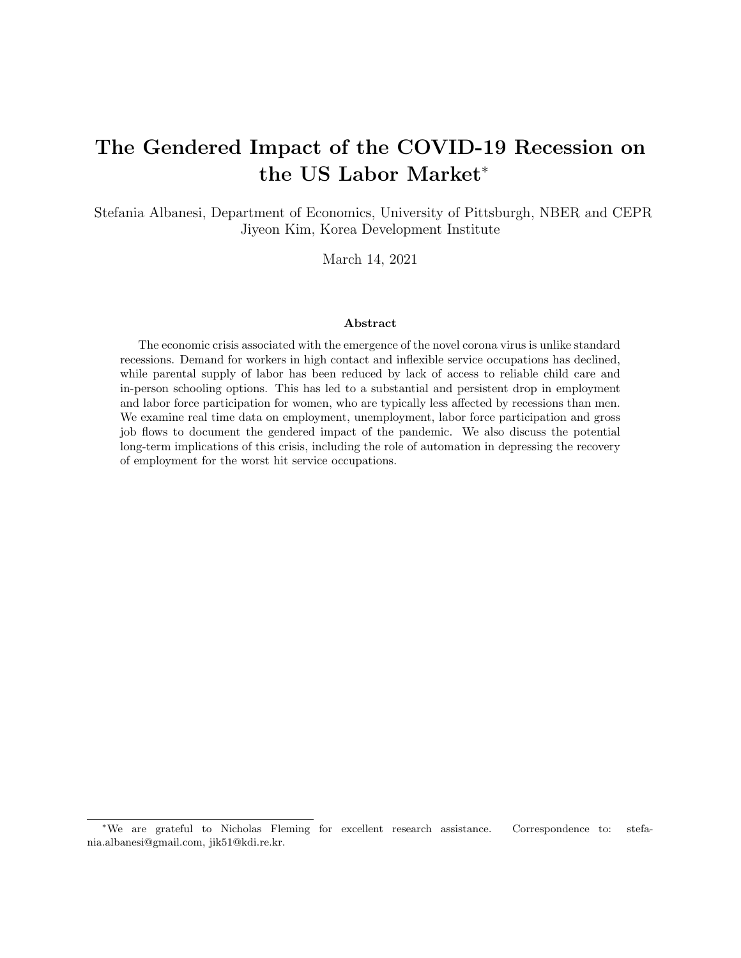## The Gendered Impact of the COVID-19 Recession on the US Labor Market<sup>∗</sup>

Stefania Albanesi, Department of Economics, University of Pittsburgh, NBER and CEPR Jiyeon Kim, Korea Development Institute

March 14, 2021

#### Abstract

The economic crisis associated with the emergence of the novel corona virus is unlike standard recessions. Demand for workers in high contact and inflexible service occupations has declined, while parental supply of labor has been reduced by lack of access to reliable child care and in-person schooling options. This has led to a substantial and persistent drop in employment and labor force participation for women, who are typically less affected by recessions than men. We examine real time data on employment, unemployment, labor force participation and gross job flows to document the gendered impact of the pandemic. We also discuss the potential long-term implications of this crisis, including the role of automation in depressing the recovery of employment for the worst hit service occupations.

<sup>∗</sup>We are grateful to Nicholas Fleming for excellent research assistance. Correspondence to: stefania.albanesi@gmail.com, jik51@kdi.re.kr.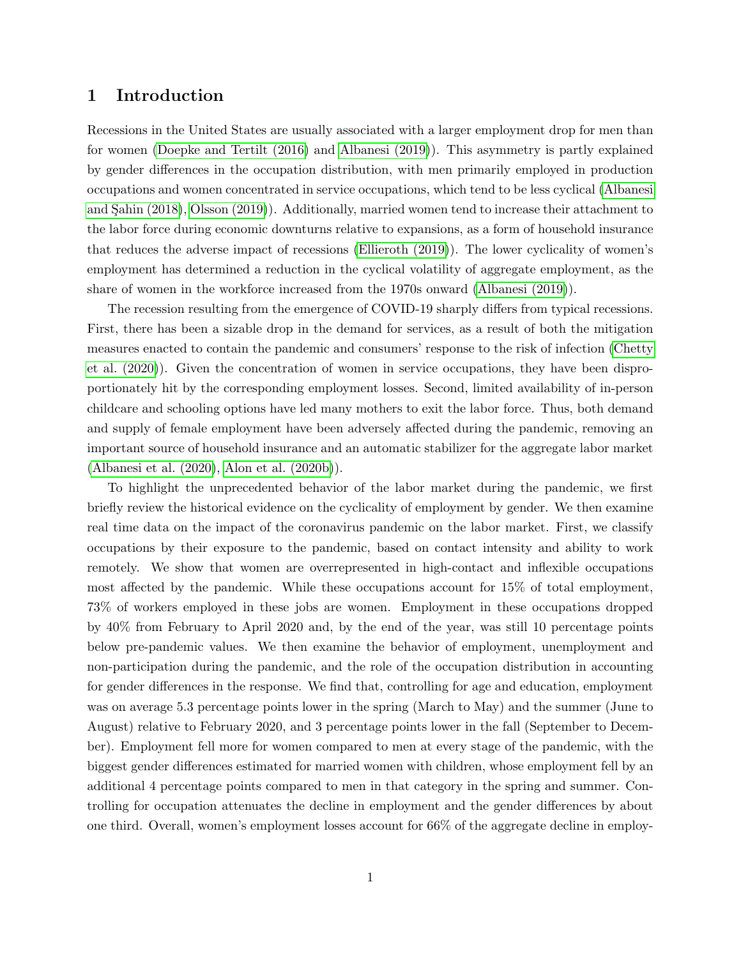## 1 Introduction

Recessions in the United States are usually associated with a larger employment drop for men than for women [\(Doepke and Tertilt \(2016\)](#page-26-0) and [Albanesi \(2019\)](#page-25-0)). This asymmetry is partly explained by gender differences in the occupation distribution, with men primarily employed in production occupations and women concentrated in service occupations, which tend to be less cyclical [\(Albanesi](#page-25-1) and Sahin (2018), [Olsson \(2019\)](#page-27-0)). Additionally, married women tend to increase their attachment to the labor force during economic downturns relative to expansions, as a form of household insurance that reduces the adverse impact of recessions [\(Ellieroth \(2019\)](#page-26-1)). The lower cyclicality of women's employment has determined a reduction in the cyclical volatility of aggregate employment, as the share of women in the workforce increased from the 1970s onward [\(Albanesi \(2019\)](#page-25-0)).

The recession resulting from the emergence of COVID-19 sharply differs from typical recessions. First, there has been a sizable drop in the demand for services, as a result of both the mitigation measures enacted to contain the pandemic and consumers' response to the risk of infection [\(Chetty](#page-26-2) [et al. \(2020\)](#page-26-2)). Given the concentration of women in service occupations, they have been disproportionately hit by the corresponding employment losses. Second, limited availability of in-person childcare and schooling options have led many mothers to exit the labor force. Thus, both demand and supply of female employment have been adversely affected during the pandemic, removing an important source of household insurance and an automatic stabilizer for the aggregate labor market [\(Albanesi et al. \(2020\)](#page-25-2), [Alon et al. \(2020b\)](#page-25-3)).

To highlight the unprecedented behavior of the labor market during the pandemic, we first briefly review the historical evidence on the cyclicality of employment by gender. We then examine real time data on the impact of the coronavirus pandemic on the labor market. First, we classify occupations by their exposure to the pandemic, based on contact intensity and ability to work remotely. We show that women are overrepresented in high-contact and inflexible occupations most affected by the pandemic. While these occupations account for 15% of total employment, 73% of workers employed in these jobs are women. Employment in these occupations dropped by 40% from February to April 2020 and, by the end of the year, was still 10 percentage points below pre-pandemic values. We then examine the behavior of employment, unemployment and non-participation during the pandemic, and the role of the occupation distribution in accounting for gender differences in the response. We find that, controlling for age and education, employment was on average 5.3 percentage points lower in the spring (March to May) and the summer (June to August) relative to February 2020, and 3 percentage points lower in the fall (September to December). Employment fell more for women compared to men at every stage of the pandemic, with the biggest gender differences estimated for married women with children, whose employment fell by an additional 4 percentage points compared to men in that category in the spring and summer. Controlling for occupation attenuates the decline in employment and the gender differences by about one third. Overall, women's employment losses account for 66% of the aggregate decline in employ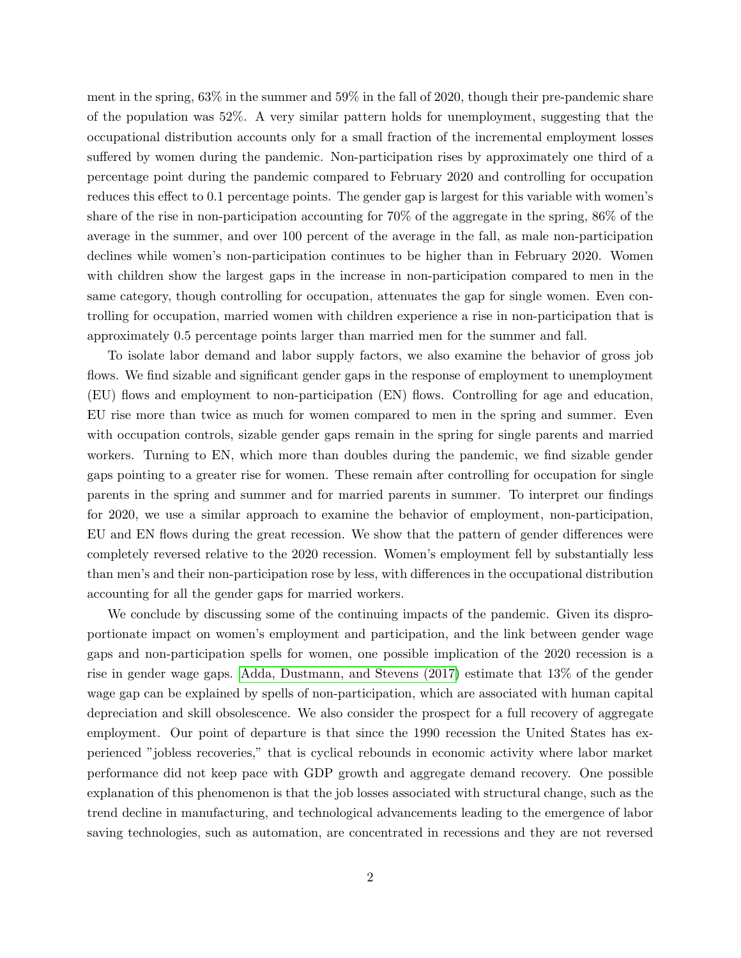ment in the spring, 63% in the summer and 59% in the fall of 2020, though their pre-pandemic share of the population was 52%. A very similar pattern holds for unemployment, suggesting that the occupational distribution accounts only for a small fraction of the incremental employment losses suffered by women during the pandemic. Non-participation rises by approximately one third of a percentage point during the pandemic compared to February 2020 and controlling for occupation reduces this effect to 0.1 percentage points. The gender gap is largest for this variable with women's share of the rise in non-participation accounting for 70% of the aggregate in the spring, 86% of the average in the summer, and over 100 percent of the average in the fall, as male non-participation declines while women's non-participation continues to be higher than in February 2020. Women with children show the largest gaps in the increase in non-participation compared to men in the same category, though controlling for occupation, attenuates the gap for single women. Even controlling for occupation, married women with children experience a rise in non-participation that is approximately 0.5 percentage points larger than married men for the summer and fall.

To isolate labor demand and labor supply factors, we also examine the behavior of gross job flows. We find sizable and significant gender gaps in the response of employment to unemployment (EU) flows and employment to non-participation (EN) flows. Controlling for age and education, EU rise more than twice as much for women compared to men in the spring and summer. Even with occupation controls, sizable gender gaps remain in the spring for single parents and married workers. Turning to EN, which more than doubles during the pandemic, we find sizable gender gaps pointing to a greater rise for women. These remain after controlling for occupation for single parents in the spring and summer and for married parents in summer. To interpret our findings for 2020, we use a similar approach to examine the behavior of employment, non-participation, EU and EN flows during the great recession. We show that the pattern of gender differences were completely reversed relative to the 2020 recession. Women's employment fell by substantially less than men's and their non-participation rose by less, with differences in the occupational distribution accounting for all the gender gaps for married workers.

We conclude by discussing some of the continuing impacts of the pandemic. Given its disproportionate impact on women's employment and participation, and the link between gender wage gaps and non-participation spells for women, one possible implication of the 2020 recession is a rise in gender wage gaps. [Adda, Dustmann, and Stevens \(2017\)](#page-25-4) estimate that 13% of the gender wage gap can be explained by spells of non-participation, which are associated with human capital depreciation and skill obsolescence. We also consider the prospect for a full recovery of aggregate employment. Our point of departure is that since the 1990 recession the United States has experienced "jobless recoveries," that is cyclical rebounds in economic activity where labor market performance did not keep pace with GDP growth and aggregate demand recovery. One possible explanation of this phenomenon is that the job losses associated with structural change, such as the trend decline in manufacturing, and technological advancements leading to the emergence of labor saving technologies, such as automation, are concentrated in recessions and they are not reversed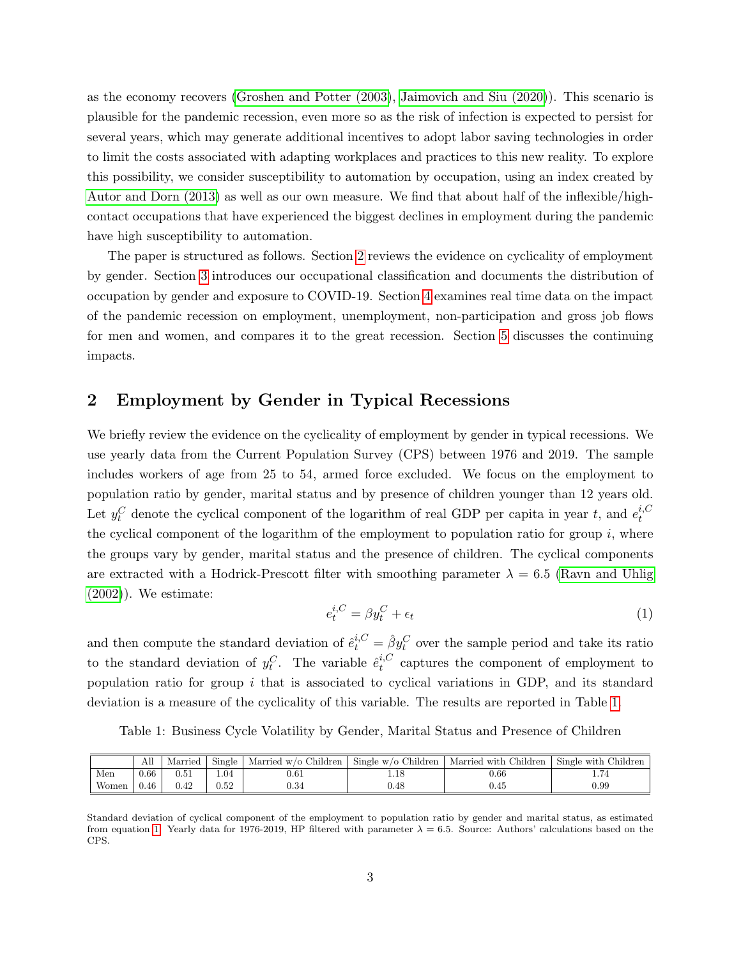as the economy recovers [\(Groshen and Potter \(2003\)](#page-26-3), [Jaimovich and Siu \(2020\)](#page-27-1)). This scenario is plausible for the pandemic recession, even more so as the risk of infection is expected to persist for several years, which may generate additional incentives to adopt labor saving technologies in order to limit the costs associated with adapting workplaces and practices to this new reality. To explore this possibility, we consider susceptibility to automation by occupation, using an index created by [Autor and Dorn \(2013\)](#page-25-5) as well as our own measure. We find that about half of the inflexible/highcontact occupations that have experienced the biggest declines in employment during the pandemic have high susceptibility to automation.

The paper is structured as follows. Section [2](#page-3-0) reviews the evidence on cyclicality of employment by gender. Section [3](#page-5-0) introduces our occupational classification and documents the distribution of occupation by gender and exposure to COVID-19. Section [4](#page-10-0) examines real time data on the impact of the pandemic recession on employment, unemployment, non-participation and gross job flows for men and women, and compares it to the great recession. Section [5](#page-20-0) discusses the continuing impacts.

## <span id="page-3-0"></span>2 Employment by Gender in Typical Recessions

We briefly review the evidence on the cyclicality of employment by gender in typical recessions. We use yearly data from the Current Population Survey (CPS) between 1976 and 2019. The sample includes workers of age from 25 to 54, armed force excluded. We focus on the employment to population ratio by gender, marital status and by presence of children younger than 12 years old. Let  $y_t^C$  denote the cyclical component of the logarithm of real GDP per capita in year t, and  $e_t^{i,C}$ t the cyclical component of the logarithm of the employment to population ratio for group  $i$ , where the groups vary by gender, marital status and the presence of children. The cyclical components are extracted with a Hodrick-Prescott filter with smoothing parameter  $\lambda = 6.5$  [\(Ravn and Uhlig](#page-27-2)  $(2002)$ . We estimate:

<span id="page-3-2"></span>
$$
e_t^{i,C} = \beta y_t^C + \epsilon_t \tag{1}
$$

and then compute the standard deviation of  $\hat{e}^{i,C}_t = \hat{\beta} y_t^C$  over the sample period and take its ratio to the standard deviation of  $y_t^C$ . The variable  $\hat{e}_t^{i,C}$  $t_t^{\prime,\mathrm{c}}$  captures the component of employment to population ratio for group  $i$  that is associated to cyclical variations in GDP, and its standard deviation is a measure of the cyclicality of this variable. The results are reported in Table [1.](#page-3-1)

<span id="page-3-1"></span>

|  |  |  | Table 1: Business Cycle Volatility by Gender, Marital Status and Presence of Children |  |  |  |  |  |  |  |  |  |
|--|--|--|---------------------------------------------------------------------------------------|--|--|--|--|--|--|--|--|--|
|--|--|--|---------------------------------------------------------------------------------------|--|--|--|--|--|--|--|--|--|

|       | All  | Married | Single   | Married w/o Children | Single w/o Children | Married with Children | Single with Children |
|-------|------|---------|----------|----------------------|---------------------|-----------------------|----------------------|
| Men   | 0.66 |         | .04      | 0.61                 |                     | $0.66\,$              |                      |
| Women | 0.46 | 0.42    | $0.52\,$ | 0.34                 | 0.48                | $0.45\,$              | $_{0.99}$            |

Standard deviation of cyclical component of the employment to population ratio by gender and marital status, as estimated from equation [1.](#page-3-2) Yearly data for 1976-2019, HP filtered with parameter  $\lambda = 6.5$ . Source: Authors' calculations based on the CPS.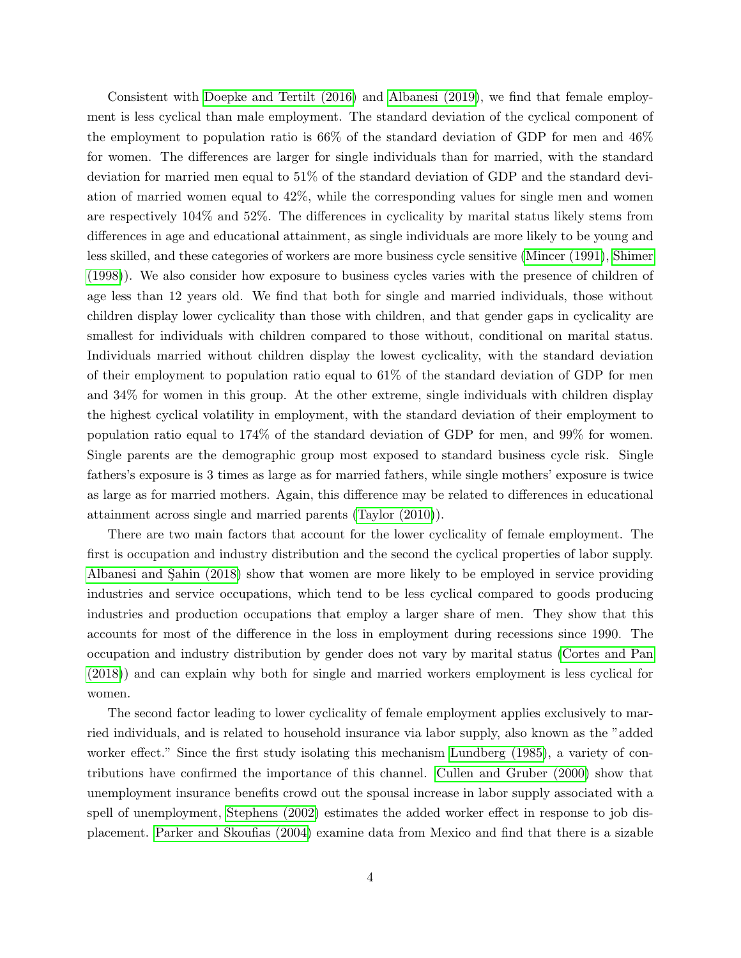Consistent with [Doepke and Tertilt \(2016\)](#page-26-0) and [Albanesi \(2019\)](#page-25-0), we find that female employment is less cyclical than male employment. The standard deviation of the cyclical component of the employment to population ratio is 66% of the standard deviation of GDP for men and 46% for women. The differences are larger for single individuals than for married, with the standard deviation for married men equal to 51% of the standard deviation of GDP and the standard deviation of married women equal to 42%, while the corresponding values for single men and women are respectively 104% and 52%. The differences in cyclicality by marital status likely stems from differences in age and educational attainment, as single individuals are more likely to be young and less skilled, and these categories of workers are more business cycle sensitive [\(Mincer \(1991\)](#page-27-3), [Shimer](#page-27-4) [\(1998\)](#page-27-4)). We also consider how exposure to business cycles varies with the presence of children of age less than 12 years old. We find that both for single and married individuals, those without children display lower cyclicality than those with children, and that gender gaps in cyclicality are smallest for individuals with children compared to those without, conditional on marital status. Individuals married without children display the lowest cyclicality, with the standard deviation of their employment to population ratio equal to 61% of the standard deviation of GDP for men and 34% for women in this group. At the other extreme, single individuals with children display the highest cyclical volatility in employment, with the standard deviation of their employment to population ratio equal to 174% of the standard deviation of GDP for men, and 99% for women. Single parents are the demographic group most exposed to standard business cycle risk. Single fathers's exposure is 3 times as large as for married fathers, while single mothers' exposure is twice as large as for married mothers. Again, this difference may be related to differences in educational attainment across single and married parents [\(Taylor \(2010\)](#page-28-0)).

There are two main factors that account for the lower cyclicality of female employment. The first is occupation and industry distribution and the second the cyclical properties of labor supply. Albanesi and Sahin (2018) show that women are more likely to be employed in service providing industries and service occupations, which tend to be less cyclical compared to goods producing industries and production occupations that employ a larger share of men. They show that this accounts for most of the difference in the loss in employment during recessions since 1990. The occupation and industry distribution by gender does not vary by marital status [\(Cortes and Pan](#page-26-4) [\(2018\)](#page-26-4)) and can explain why both for single and married workers employment is less cyclical for women.

The second factor leading to lower cyclicality of female employment applies exclusively to married individuals, and is related to household insurance via labor supply, also known as the "added worker effect." Since the first study isolating this mechanism [Lundberg \(1985\)](#page-27-5), a variety of contributions have confirmed the importance of this channel. [Cullen and Gruber \(2000\)](#page-26-5) show that unemployment insurance benefits crowd out the spousal increase in labor supply associated with a spell of unemployment, [Stephens \(2002\)](#page-28-1) estimates the added worker effect in response to job displacement. [Parker and Skoufias \(2004\)](#page-27-6) examine data from Mexico and find that there is a sizable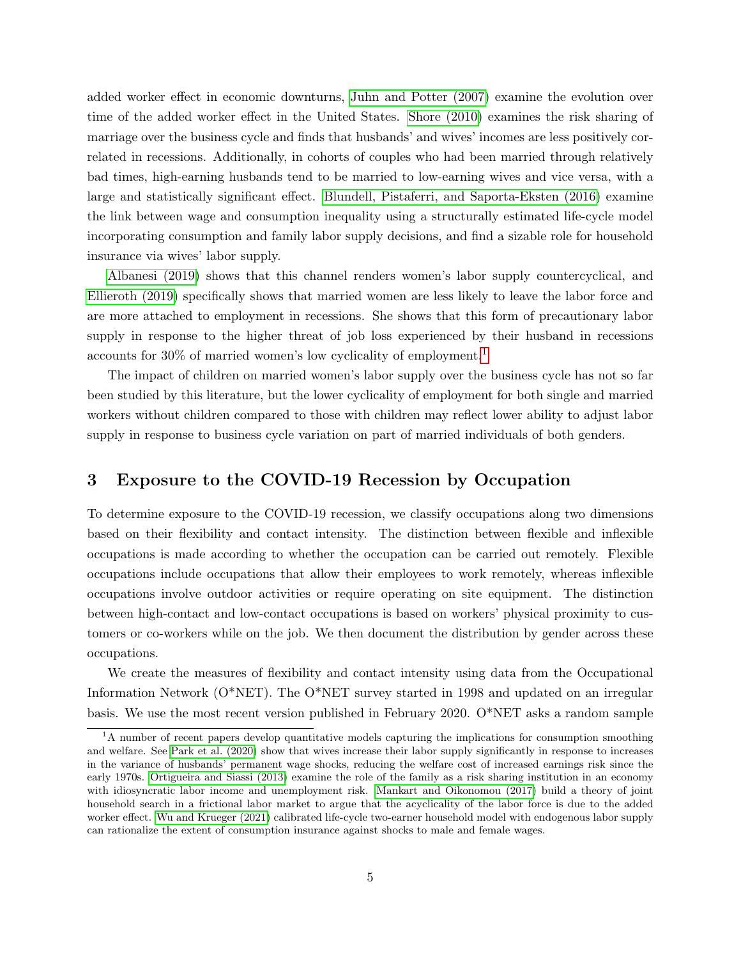added worker effect in economic downturns, [Juhn and Potter \(2007\)](#page-27-7) examine the evolution over time of the added worker effect in the United States. [Shore \(2010\)](#page-27-8) examines the risk sharing of marriage over the business cycle and finds that husbands' and wives' incomes are less positively correlated in recessions. Additionally, in cohorts of couples who had been married through relatively bad times, high-earning husbands tend to be married to low-earning wives and vice versa, with a large and statistically significant effect. [Blundell, Pistaferri, and Saporta-Eksten \(2016\)](#page-26-6) examine the link between wage and consumption inequality using a structurally estimated life-cycle model incorporating consumption and family labor supply decisions, and find a sizable role for household insurance via wives' labor supply.

[Albanesi \(2019\)](#page-25-0) shows that this channel renders women's labor supply countercyclical, and [Ellieroth \(2019\)](#page-26-1) specifically shows that married women are less likely to leave the labor force and are more attached to employment in recessions. She shows that this form of precautionary labor supply in response to the higher threat of job loss experienced by their husband in recessions accounts for 30% of married women's low cyclicality of employment.[1](#page-5-1)

The impact of children on married women's labor supply over the business cycle has not so far been studied by this literature, but the lower cyclicality of employment for both single and married workers without children compared to those with children may reflect lower ability to adjust labor supply in response to business cycle variation on part of married individuals of both genders.

## <span id="page-5-0"></span>3 Exposure to the COVID-19 Recession by Occupation

To determine exposure to the COVID-19 recession, we classify occupations along two dimensions based on their flexibility and contact intensity. The distinction between flexible and inflexible occupations is made according to whether the occupation can be carried out remotely. Flexible occupations include occupations that allow their employees to work remotely, whereas inflexible occupations involve outdoor activities or require operating on site equipment. The distinction between high-contact and low-contact occupations is based on workers' physical proximity to customers or co-workers while on the job. We then document the distribution by gender across these occupations.

We create the measures of flexibility and contact intensity using data from the Occupational Information Network (O\*NET). The O\*NET survey started in 1998 and updated on an irregular basis. We use the most recent version published in February 2020. O\*NET asks a random sample

<span id="page-5-1"></span><sup>&</sup>lt;sup>1</sup>A number of recent papers develop quantitative models capturing the implications for consumption smoothing and welfare. See [Park et al. \(2020\)](#page-27-9) show that wives increase their labor supply significantly in response to increases in the variance of husbands' permanent wage shocks, reducing the welfare cost of increased earnings risk since the early 1970s. [Ortigueira and Siassi \(2013\)](#page-27-10) examine the role of the family as a risk sharing institution in an economy with idiosyncratic labor income and unemployment risk. [Mankart and Oikonomou \(2017\)](#page-27-11) build a theory of joint household search in a frictional labor market to argue that the acyclicality of the labor force is due to the added worker effect. [Wu and Krueger \(2021\)](#page-28-2) calibrated life-cycle two-earner household model with endogenous labor supply can rationalize the extent of consumption insurance against shocks to male and female wages.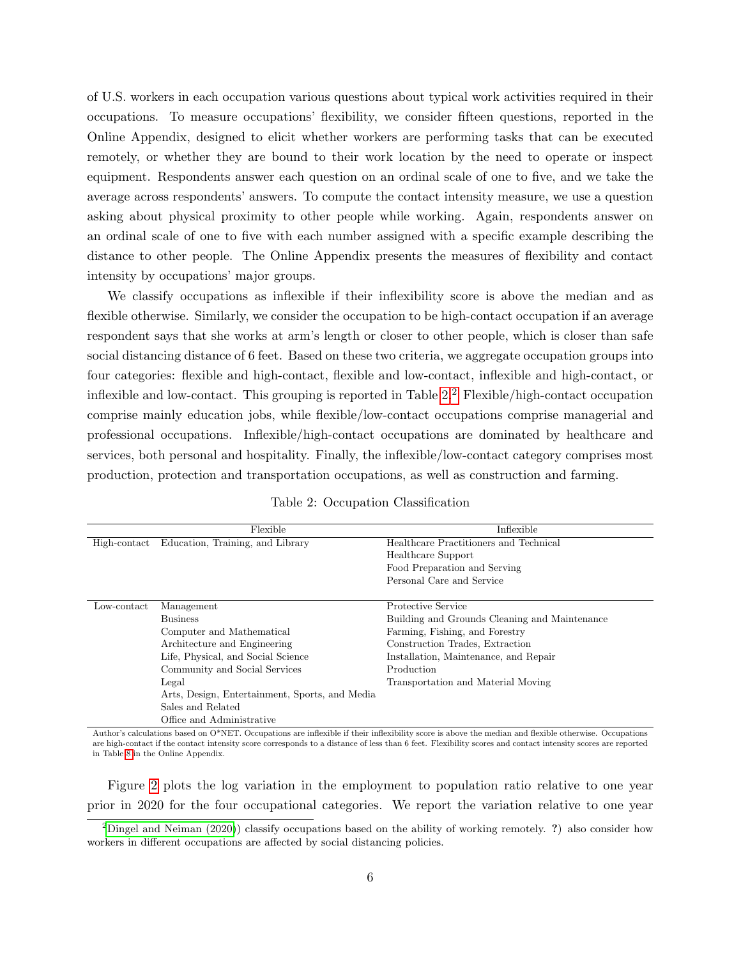of U.S. workers in each occupation various questions about typical work activities required in their occupations. To measure occupations' flexibility, we consider fifteen questions, reported in the Online Appendix, designed to elicit whether workers are performing tasks that can be executed remotely, or whether they are bound to their work location by the need to operate or inspect equipment. Respondents answer each question on an ordinal scale of one to five, and we take the average across respondents' answers. To compute the contact intensity measure, we use a question asking about physical proximity to other people while working. Again, respondents answer on an ordinal scale of one to five with each number assigned with a specific example describing the distance to other people. The Online Appendix presents the measures of flexibility and contact intensity by occupations' major groups.

We classify occupations as inflexible if their inflexibility score is above the median and as flexible otherwise. Similarly, we consider the occupation to be high-contact occupation if an average respondent says that she works at arm's length or closer to other people, which is closer than safe social distancing distance of 6 feet. Based on these two criteria, we aggregate occupation groups into four categories: flexible and high-contact, flexible and low-contact, inflexible and high-contact, or inflexible and low-contact. This grouping is reported in Table  $2<sup>2</sup>$  $2<sup>2</sup>$  Flexible/high-contact occupation comprise mainly education jobs, while flexible/low-contact occupations comprise managerial and professional occupations. Inflexible/high-contact occupations are dominated by healthcare and services, both personal and hospitality. Finally, the inflexible/low-contact category comprises most production, protection and transportation occupations, as well as construction and farming.

|  |  | Table 2: Occupation Classification |
|--|--|------------------------------------|
|--|--|------------------------------------|

<span id="page-6-0"></span>

| Education, Training, and Library<br>Healthcare Practitioners and Technical<br>High-contact<br>Healthcare Support<br>Food Preparation and Serving<br>Personal Care and Service<br>Protective Service<br>Low-contact<br>Management<br><b>Business</b><br>Building and Grounds Cleaning and Maintenance<br>Farming, Fishing, and Forestry<br>Computer and Mathematical<br>Architecture and Engineering<br>Construction Trades, Extraction<br>Life, Physical, and Social Science<br>Installation, Maintenance, and Repair | Flexible                      | Inflexible |
|-----------------------------------------------------------------------------------------------------------------------------------------------------------------------------------------------------------------------------------------------------------------------------------------------------------------------------------------------------------------------------------------------------------------------------------------------------------------------------------------------------------------------|-------------------------------|------------|
|                                                                                                                                                                                                                                                                                                                                                                                                                                                                                                                       |                               |            |
|                                                                                                                                                                                                                                                                                                                                                                                                                                                                                                                       |                               |            |
|                                                                                                                                                                                                                                                                                                                                                                                                                                                                                                                       |                               |            |
|                                                                                                                                                                                                                                                                                                                                                                                                                                                                                                                       |                               |            |
|                                                                                                                                                                                                                                                                                                                                                                                                                                                                                                                       |                               |            |
|                                                                                                                                                                                                                                                                                                                                                                                                                                                                                                                       |                               |            |
|                                                                                                                                                                                                                                                                                                                                                                                                                                                                                                                       |                               |            |
|                                                                                                                                                                                                                                                                                                                                                                                                                                                                                                                       |                               |            |
|                                                                                                                                                                                                                                                                                                                                                                                                                                                                                                                       |                               |            |
|                                                                                                                                                                                                                                                                                                                                                                                                                                                                                                                       |                               |            |
|                                                                                                                                                                                                                                                                                                                                                                                                                                                                                                                       | Community and Social Services | Production |
| Legal<br>Transportation and Material Moving                                                                                                                                                                                                                                                                                                                                                                                                                                                                           |                               |            |
| Arts, Design, Entertainment, Sports, and Media                                                                                                                                                                                                                                                                                                                                                                                                                                                                        |                               |            |
| Sales and Related                                                                                                                                                                                                                                                                                                                                                                                                                                                                                                     |                               |            |
| Office and Administrative                                                                                                                                                                                                                                                                                                                                                                                                                                                                                             |                               |            |

Author's calculations based on O\*NET. Occupations are inflexible if their inflexibility score is above the median and flexible otherwise. Occupations are high-contact if the contact intensity score corresponds to a distance of less than 6 feet. Flexibility scores and contact intensity scores are reported in Table [8](#page-31-0) in the Online Appendix.

Figure [2](#page-9-0) plots the log variation in the employment to population ratio relative to one year prior in 2020 for the four occupational categories. We report the variation relative to one year

<span id="page-6-1"></span><sup>&</sup>lt;sup>2</sup>[Dingel and Neiman \(2020\)](#page-26-7)) classify occupations based on the ability of working remotely. ?) also consider how workers in different occupations are affected by social distancing policies.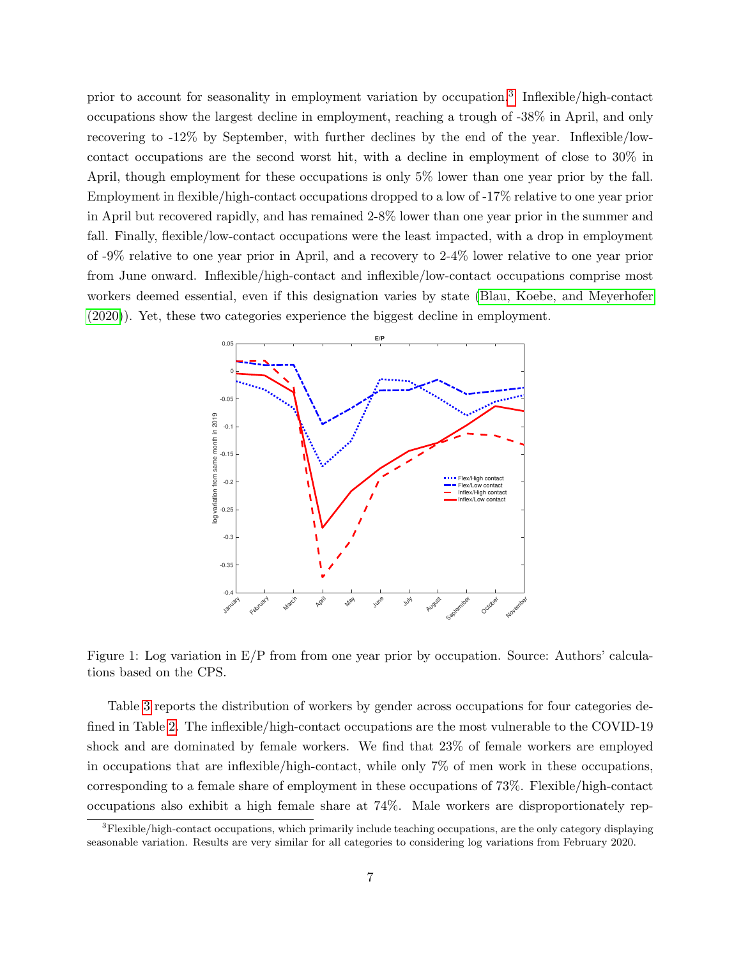prior to account for seasonality in employment variation by occupation.<sup>[3](#page-7-0)</sup> Inflexible/high-contact occupations show the largest decline in employment, reaching a trough of -38% in April, and only recovering to -12% by September, with further declines by the end of the year. Inflexible/lowcontact occupations are the second worst hit, with a decline in employment of close to 30% in April, though employment for these occupations is only 5% lower than one year prior by the fall. Employment in flexible/high-contact occupations dropped to a low of -17% relative to one year prior in April but recovered rapidly, and has remained 2-8% lower than one year prior in the summer and fall. Finally, flexible/low-contact occupations were the least impacted, with a drop in employment of -9% relative to one year prior in April, and a recovery to 2-4% lower relative to one year prior from June onward. Inflexible/high-contact and inflexible/low-contact occupations comprise most workers deemed essential, even if this designation varies by state [\(Blau, Koebe, and Meyerhofer](#page-25-6) [\(2020\)](#page-25-6)). Yet, these two categories experience the biggest decline in employment.



Figure 1: Log variation in E/P from from one year prior by occupation. Source: Authors' calculations based on the CPS.

Table [3](#page-8-0) reports the distribution of workers by gender across occupations for four categories defined in Table [2.](#page-6-0) The inflexible/high-contact occupations are the most vulnerable to the COVID-19 shock and are dominated by female workers. We find that 23% of female workers are employed in occupations that are inflexible/high-contact, while only 7% of men work in these occupations, corresponding to a female share of employment in these occupations of 73%. Flexible/high-contact occupations also exhibit a high female share at 74%. Male workers are disproportionately rep-

<span id="page-7-0"></span><sup>3</sup>Flexible/high-contact occupations, which primarily include teaching occupations, are the only category displaying seasonable variation. Results are very similar for all categories to considering log variations from February 2020.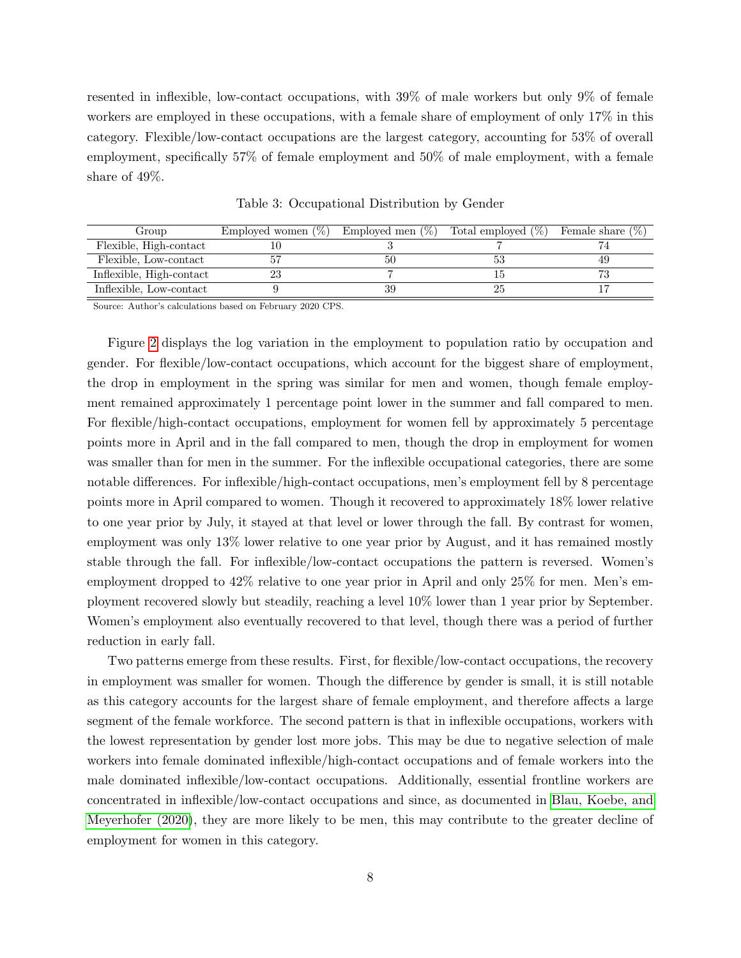resented in inflexible, low-contact occupations, with 39% of male workers but only 9% of female workers are employed in these occupations, with a female share of employment of only 17% in this category. Flexible/low-contact occupations are the largest category, accounting for 53% of overall employment, specifically 57% of female employment and 50% of male employment, with a female share of 49%.

<span id="page-8-0"></span>

| Group                    | Employed women $(\%)$ Employed men $(\%)$ |    | Total employed $(\%)$ | Female share $(\%)$ |
|--------------------------|-------------------------------------------|----|-----------------------|---------------------|
| Flexible, High-contact   |                                           |    |                       |                     |
| Flexible, Low-contact    |                                           |    |                       | 49                  |
| Inflexible, High-contact |                                           |    |                       | مس                  |
| Inflexible, Low-contact  |                                           | 39 |                       |                     |

Table 3: Occupational Distribution by Gender

Source: Author's calculations based on February 2020 CPS.

Figure [2](#page-9-0) displays the log variation in the employment to population ratio by occupation and gender. For flexible/low-contact occupations, which account for the biggest share of employment, the drop in employment in the spring was similar for men and women, though female employment remained approximately 1 percentage point lower in the summer and fall compared to men. For flexible/high-contact occupations, employment for women fell by approximately 5 percentage points more in April and in the fall compared to men, though the drop in employment for women was smaller than for men in the summer. For the inflexible occupational categories, there are some notable differences. For inflexible/high-contact occupations, men's employment fell by 8 percentage points more in April compared to women. Though it recovered to approximately 18% lower relative to one year prior by July, it stayed at that level or lower through the fall. By contrast for women, employment was only 13% lower relative to one year prior by August, and it has remained mostly stable through the fall. For inflexible/low-contact occupations the pattern is reversed. Women's employment dropped to 42% relative to one year prior in April and only 25% for men. Men's employment recovered slowly but steadily, reaching a level 10% lower than 1 year prior by September. Women's employment also eventually recovered to that level, though there was a period of further reduction in early fall.

Two patterns emerge from these results. First, for flexible/low-contact occupations, the recovery in employment was smaller for women. Though the difference by gender is small, it is still notable as this category accounts for the largest share of female employment, and therefore affects a large segment of the female workforce. The second pattern is that in inflexible occupations, workers with the lowest representation by gender lost more jobs. This may be due to negative selection of male workers into female dominated inflexible/high-contact occupations and of female workers into the male dominated inflexible/low-contact occupations. Additionally, essential frontline workers are concentrated in inflexible/low-contact occupations and since, as documented in [Blau, Koebe, and](#page-25-6) [Meyerhofer \(2020\)](#page-25-6), they are more likely to be men, this may contribute to the greater decline of employment for women in this category.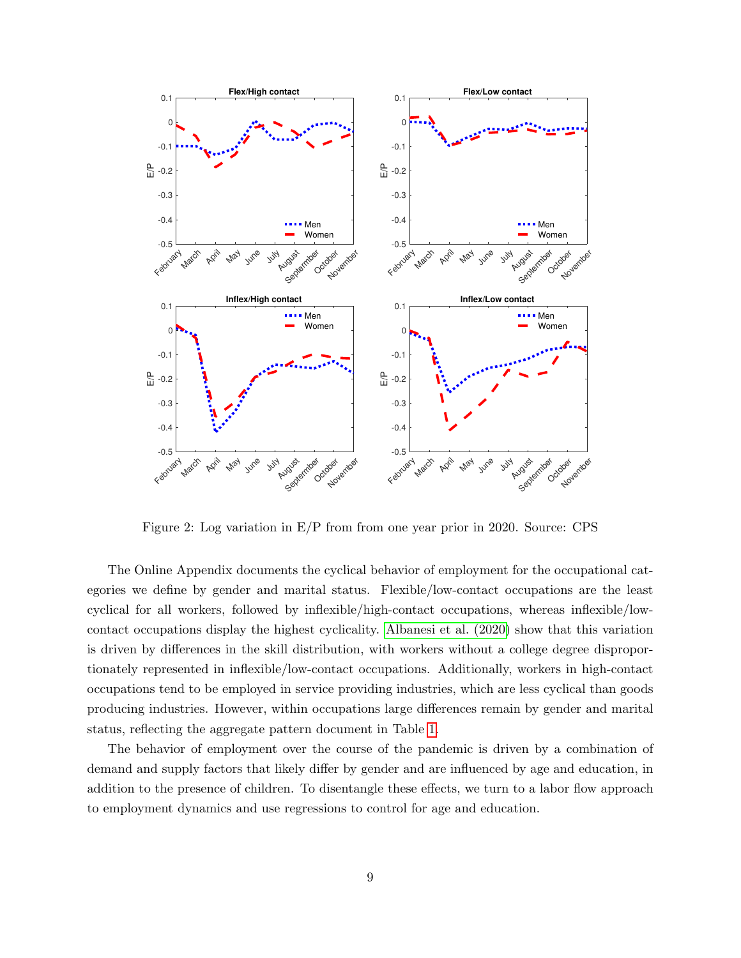<span id="page-9-0"></span>

Figure 2: Log variation in E/P from from one year prior in 2020. Source: CPS

The Online Appendix documents the cyclical behavior of employment for the occupational categories we define by gender and marital status. Flexible/low-contact occupations are the least cyclical for all workers, followed by inflexible/high-contact occupations, whereas inflexible/lowcontact occupations display the highest cyclicality. [Albanesi et al. \(2020\)](#page-25-2) show that this variation is driven by differences in the skill distribution, with workers without a college degree disproportionately represented in inflexible/low-contact occupations. Additionally, workers in high-contact occupations tend to be employed in service providing industries, which are less cyclical than goods producing industries. However, within occupations large differences remain by gender and marital status, reflecting the aggregate pattern document in Table [1.](#page-3-1)

The behavior of employment over the course of the pandemic is driven by a combination of demand and supply factors that likely differ by gender and are influenced by age and education, in addition to the presence of children. To disentangle these effects, we turn to a labor flow approach to employment dynamics and use regressions to control for age and education.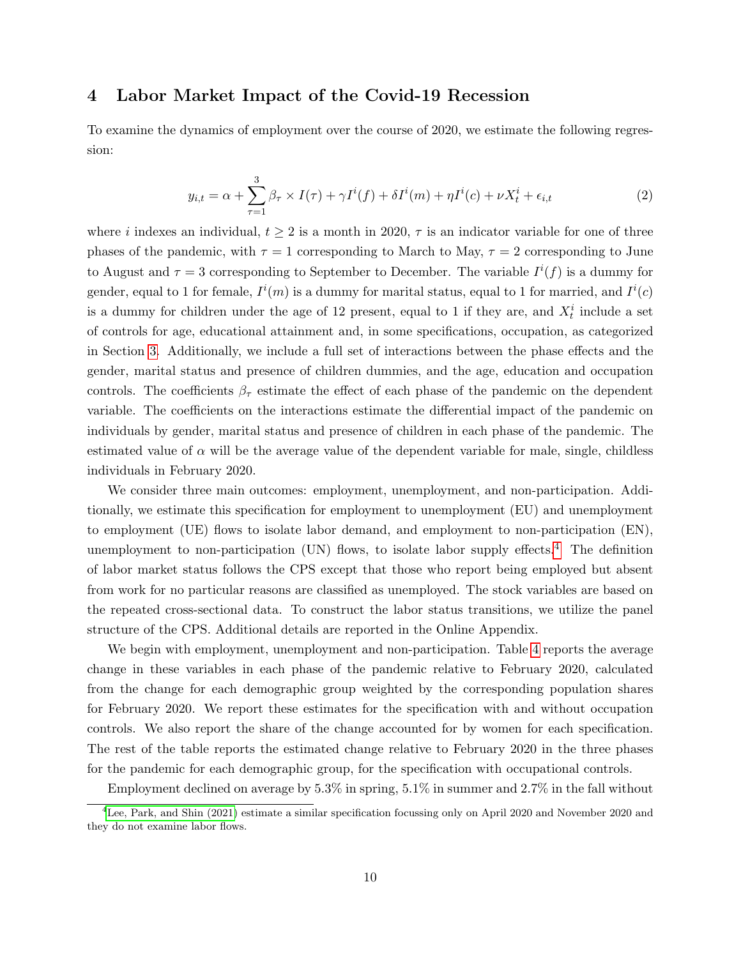## <span id="page-10-0"></span>4 Labor Market Impact of the Covid-19 Recession

To examine the dynamics of employment over the course of 2020, we estimate the following regression:

<span id="page-10-2"></span>
$$
y_{i,t} = \alpha + \sum_{\tau=1}^{3} \beta_{\tau} \times I(\tau) + \gamma I^{i}(f) + \delta I^{i}(m) + \eta I^{i}(c) + \nu X_{t}^{i} + \epsilon_{i,t}
$$
\n
$$
\tag{2}
$$

where i indexes an individual,  $t \geq 2$  is a month in 2020,  $\tau$  is an indicator variable for one of three phases of the pandemic, with  $\tau = 1$  corresponding to March to May,  $\tau = 2$  corresponding to June to August and  $\tau = 3$  corresponding to September to December. The variable  $I^{i}(f)$  is a dummy for gender, equal to 1 for female,  $I^{i}(m)$  is a dummy for marital status, equal to 1 for married, and  $I^{i}(c)$ is a dummy for children under the age of 12 present, equal to 1 if they are, and  $X_t^i$  include a set of controls for age, educational attainment and, in some specifications, occupation, as categorized in Section [3.](#page-5-0) Additionally, we include a full set of interactions between the phase effects and the gender, marital status and presence of children dummies, and the age, education and occupation controls. The coefficients  $\beta_{\tau}$  estimate the effect of each phase of the pandemic on the dependent variable. The coefficients on the interactions estimate the differential impact of the pandemic on individuals by gender, marital status and presence of children in each phase of the pandemic. The estimated value of  $\alpha$  will be the average value of the dependent variable for male, single, childless individuals in February 2020.

We consider three main outcomes: employment, unemployment, and non-participation. Additionally, we estimate this specification for employment to unemployment (EU) and unemployment to employment (UE) flows to isolate labor demand, and employment to non-participation (EN), unemployment to non-participation (UN) flows, to isolate labor supply effects.<sup>[4](#page-10-1)</sup> The definition of labor market status follows the CPS except that those who report being employed but absent from work for no particular reasons are classified as unemployed. The stock variables are based on the repeated cross-sectional data. To construct the labor status transitions, we utilize the panel structure of the CPS. Additional details are reported in the Online Appendix.

We begin with employment, unemployment and non-participation. Table [4](#page-11-0) reports the average change in these variables in each phase of the pandemic relative to February 2020, calculated from the change for each demographic group weighted by the corresponding population shares for February 2020. We report these estimates for the specification with and without occupation controls. We also report the share of the change accounted for by women for each specification. The rest of the table reports the estimated change relative to February 2020 in the three phases for the pandemic for each demographic group, for the specification with occupational controls.

<span id="page-10-1"></span>Employment declined on average by 5.3% in spring, 5.1% in summer and 2.7% in the fall without

 ${}^{4}$ [Lee, Park, and Shin \(2021\)](#page-27-12) estimate a similar specification focussing only on April 2020 and November 2020 and they do not examine labor flows.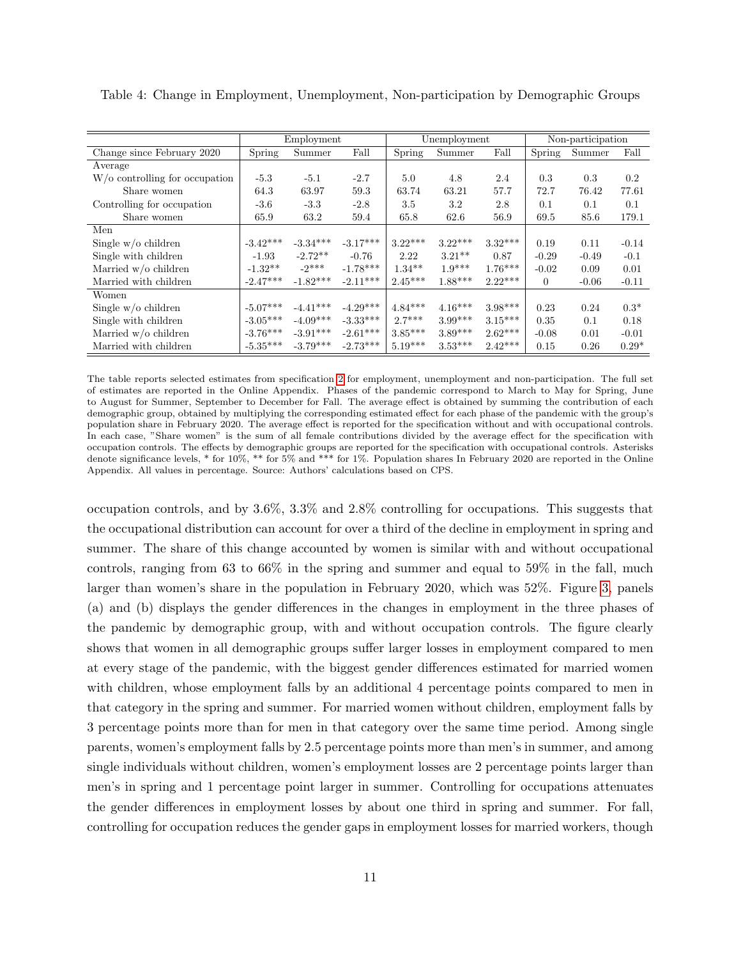|                                       |            | Employment |            |           | Unemployment |           | Non-participation |         |         |
|---------------------------------------|------------|------------|------------|-----------|--------------|-----------|-------------------|---------|---------|
| Change since February 2020            | Spring     | Summer     | Fall       | Spring    | Summer       | Fall      | Spring            | Summer  | Fall    |
| Average                               |            |            |            |           |              |           |                   |         |         |
| $W/\sigma$ controlling for occupation | $-5.3$     | $-5.1$     | $-2.7$     | 5.0       | 4.8          | 2.4       | 0.3               | 0.3     | 0.2     |
| Share women                           | 64.3       | 63.97      | 59.3       | 63.74     | 63.21        | 57.7      | 72.7              | 76.42   | 77.61   |
| Controlling for occupation            | $-3.6$     | $-3.3$     | $-2.8$     | 3.5       | 3.2          | 2.8       | 0.1               | 0.1     | 0.1     |
| Share women                           | 65.9       | 63.2       | 59.4       | 65.8      | 62.6         | 56.9      | 69.5              | 85.6    | 179.1   |
| Men                                   |            |            |            |           |              |           |                   |         |         |
| Single $w/o$ children                 | $-3.42***$ | $-3.34***$ | $-3.17***$ | $3.22***$ | $3.22***$    | $3.32***$ | 0.19              | 0.11    | $-0.14$ |
| Single with children                  | $-1.93$    | $-2.72**$  | $-0.76$    | 2.22      | $3.21***$    | 0.87      | $-0.29$           | $-0.49$ | $-0.1$  |
| Married w/o children                  | $-1.32**$  | $-2***$    | $-1.78***$ | $1.34***$ | $1.9***$     | $1.76***$ | $-0.02$           | 0.09    | 0.01    |
| Married with children                 | $-2.47***$ | $-1.82***$ | $-2.11***$ | $2.45***$ | $1.88***$    | $2.22***$ | $\theta$          | $-0.06$ | $-0.11$ |
| Women                                 |            |            |            |           |              |           |                   |         |         |
| Single $w/o$ children                 | $-5.07***$ | $-4.41***$ | $-4.29***$ | $4.84***$ | $4.16***$    | $3.98***$ | 0.23              | 0.24    | $0.3*$  |
| Single with children                  | $-3.05***$ | $-4.09***$ | $-3.33***$ | $2.7***$  | $3.99***$    | $3.15***$ | 0.35              | 0.1     | 0.18    |
| Married $w/o$ children                | $-3.76***$ | $-3.91***$ | $-2.61***$ | $3.85***$ | $3.89***$    | $2.62***$ | $-0.08$           | 0.01    | $-0.01$ |
| Married with children                 | $-5.35***$ | $-3.79***$ | $-2.73***$ | $5.19***$ | $3.53***$    | $2.42***$ | 0.15              | 0.26    | $0.29*$ |

<span id="page-11-0"></span>Table 4: Change in Employment, Unemployment, Non-participation by Demographic Groups

The table reports selected estimates from specification [2](#page-10-2) for employment, unemployment and non-participation. The full set of estimates are reported in the Online Appendix. Phases of the pandemic correspond to March to May for Spring, June to August for Summer, September to December for Fall. The average effect is obtained by summing the contribution of each demographic group, obtained by multiplying the corresponding estimated effect for each phase of the pandemic with the group's population share in February 2020. The average effect is reported for the specification without and with occupational controls. In each case, "Share women" is the sum of all female contributions divided by the average effect for the specification with occupation controls. The effects by demographic groups are reported for the specification with occupational controls. Asterisks denote significance levels, \* for 10%, \*\* for 5% and \*\*\* for 1%. Population shares In February 2020 are reported in the Online Appendix. All values in percentage. Source: Authors' calculations based on CPS.

occupation controls, and by 3.6%, 3.3% and 2.8% controlling for occupations. This suggests that the occupational distribution can account for over a third of the decline in employment in spring and summer. The share of this change accounted by women is similar with and without occupational controls, ranging from 63 to 66% in the spring and summer and equal to 59% in the fall, much larger than women's share in the population in February 2020, which was 52%. Figure [3,](#page-12-0) panels (a) and (b) displays the gender differences in the changes in employment in the three phases of the pandemic by demographic group, with and without occupation controls. The figure clearly shows that women in all demographic groups suffer larger losses in employment compared to men at every stage of the pandemic, with the biggest gender differences estimated for married women with children, whose employment falls by an additional 4 percentage points compared to men in that category in the spring and summer. For married women without children, employment falls by 3 percentage points more than for men in that category over the same time period. Among single parents, women's employment falls by 2.5 percentage points more than men's in summer, and among single individuals without children, women's employment losses are 2 percentage points larger than men's in spring and 1 percentage point larger in summer. Controlling for occupations attenuates the gender differences in employment losses by about one third in spring and summer. For fall, controlling for occupation reduces the gender gaps in employment losses for married workers, though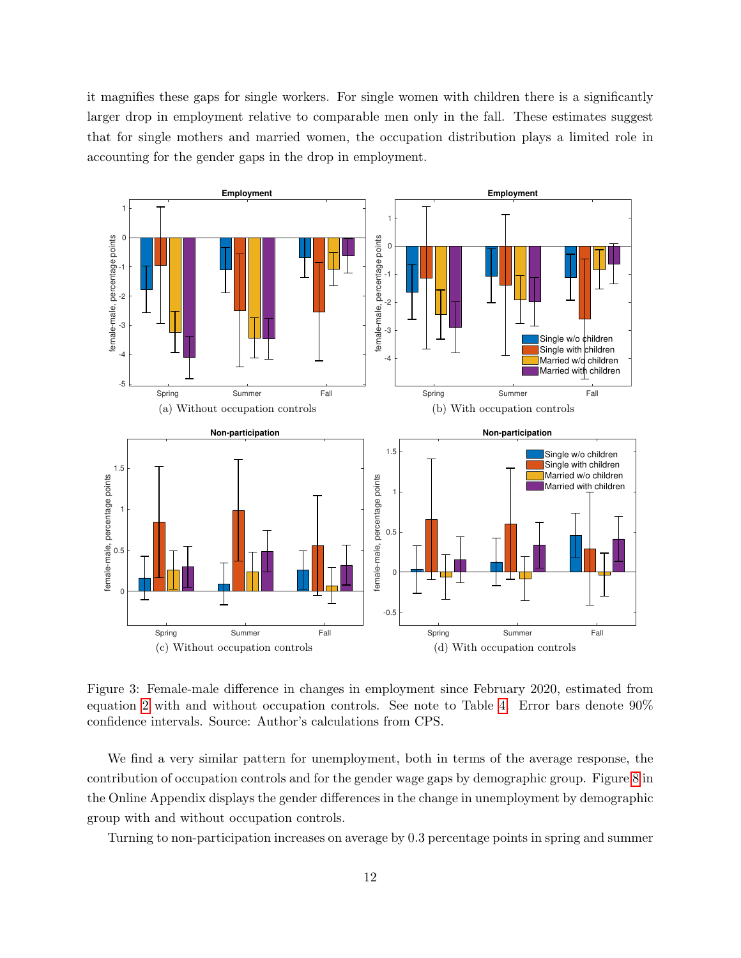it magnifies these gaps for single workers. For single women with children there is a significantly larger drop in employment relative to comparable men only in the fall. These estimates suggest that for single mothers and married women, the occupation distribution plays a limited role in accounting for the gender gaps in the drop in employment.

<span id="page-12-0"></span>

Figure 3: Female-male difference in changes in employment since February 2020, estimated from equation [2](#page-10-2) with and without occupation controls. See note to Table [4.](#page-11-0) Error bars denote 90% confidence intervals. Source: Author's calculations from CPS.

We find a very similar pattern for unemployment, both in terms of the average response, the contribution of occupation controls and for the gender wage gaps by demographic group. Figure [8](#page-33-0) in the Online Appendix displays the gender differences in the change in unemployment by demographic group with and without occupation controls.

Turning to non-participation increases on average by 0.3 percentage points in spring and summer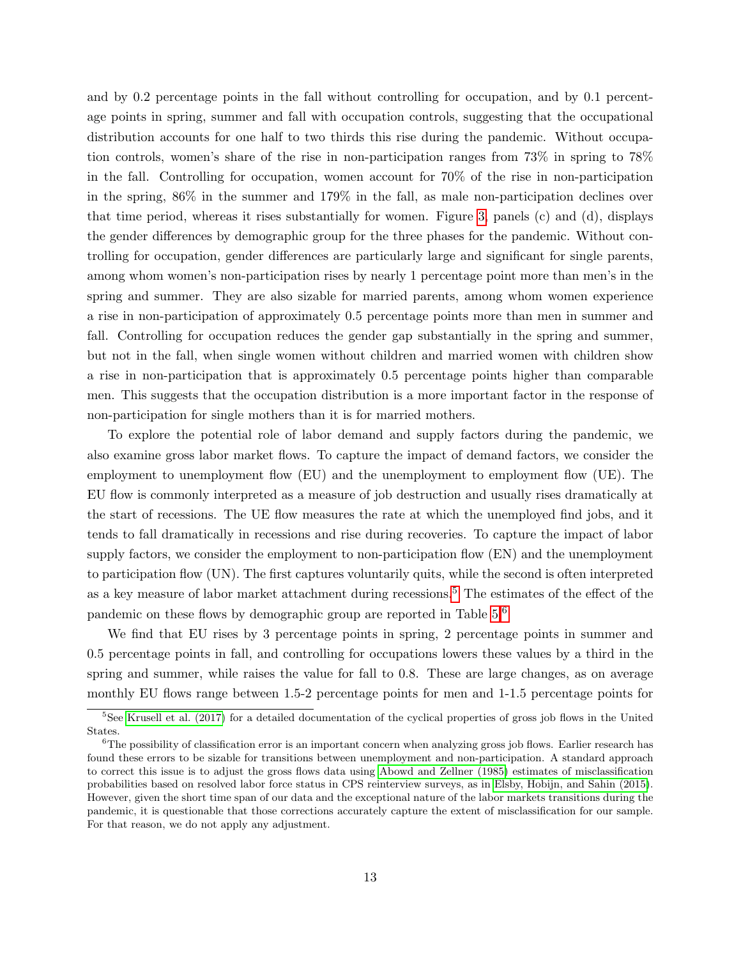and by 0.2 percentage points in the fall without controlling for occupation, and by 0.1 percentage points in spring, summer and fall with occupation controls, suggesting that the occupational distribution accounts for one half to two thirds this rise during the pandemic. Without occupation controls, women's share of the rise in non-participation ranges from 73% in spring to 78% in the fall. Controlling for occupation, women account for 70% of the rise in non-participation in the spring, 86% in the summer and 179% in the fall, as male non-participation declines over that time period, whereas it rises substantially for women. Figure [3,](#page-12-0) panels (c) and (d), displays the gender differences by demographic group for the three phases for the pandemic. Without controlling for occupation, gender differences are particularly large and significant for single parents, among whom women's non-participation rises by nearly 1 percentage point more than men's in the spring and summer. They are also sizable for married parents, among whom women experience a rise in non-participation of approximately 0.5 percentage points more than men in summer and fall. Controlling for occupation reduces the gender gap substantially in the spring and summer, but not in the fall, when single women without children and married women with children show a rise in non-participation that is approximately 0.5 percentage points higher than comparable men. This suggests that the occupation distribution is a more important factor in the response of non-participation for single mothers than it is for married mothers.

To explore the potential role of labor demand and supply factors during the pandemic, we also examine gross labor market flows. To capture the impact of demand factors, we consider the employment to unemployment flow (EU) and the unemployment to employment flow (UE). The EU flow is commonly interpreted as a measure of job destruction and usually rises dramatically at the start of recessions. The UE flow measures the rate at which the unemployed find jobs, and it tends to fall dramatically in recessions and rise during recoveries. To capture the impact of labor supply factors, we consider the employment to non-participation flow (EN) and the unemployment to participation flow (UN). The first captures voluntarily quits, while the second is often interpreted as a key measure of labor market attachment during recessions.<sup>[5](#page-13-0)</sup> The estimates of the effect of the pandemic on these flows by demographic group are reported in Table [5.](#page-14-0)[6](#page-13-1)

We find that EU rises by 3 percentage points in spring, 2 percentage points in summer and 0.5 percentage points in fall, and controlling for occupations lowers these values by a third in the spring and summer, while raises the value for fall to 0.8. These are large changes, as on average monthly EU flows range between 1.5-2 percentage points for men and 1-1.5 percentage points for

<span id="page-13-0"></span><sup>&</sup>lt;sup>5</sup>See [Krusell et al. \(2017\)](#page-27-13) for a detailed documentation of the cyclical properties of gross job flows in the United States.

<span id="page-13-1"></span><sup>&</sup>lt;sup>6</sup>The possibility of classification error is an important concern when analyzing gross job flows. Earlier research has found these errors to be sizable for transitions between unemployment and non-participation. A standard approach to correct this issue is to adjust the gross flows data using [Abowd and Zellner \(1985\)](#page-25-7) estimates of misclassification probabilities based on resolved labor force status in CPS reinterview surveys, as in [Elsby, Hobijn, and Sahin \(2015\)](#page-26-8). However, given the short time span of our data and the exceptional nature of the labor markets transitions during the pandemic, it is questionable that those corrections accurately capture the extent of misclassification for our sample. For that reason, we do not apply any adjustment.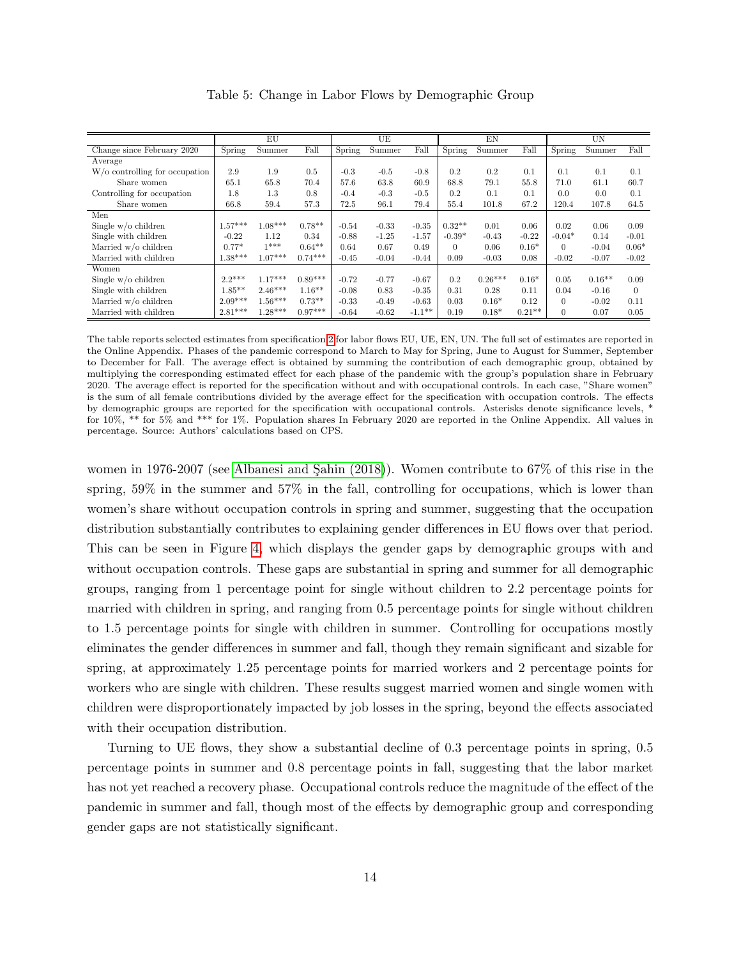<span id="page-14-0"></span>

|                                |           | EU        |           |         | UE      |           |          | EN        |          |          | UN       |          |
|--------------------------------|-----------|-----------|-----------|---------|---------|-----------|----------|-----------|----------|----------|----------|----------|
| Change since February 2020     | Spring    | Summer    | Fall      | Spring  | Summer  | Fall      | Spring   | Summer    | Fall     | Spring   | Summer   | Fall     |
| Average                        |           |           |           |         |         |           |          |           |          |          |          |          |
| W/o controlling for occupation | 2.9       | 1.9       | 0.5       | $-0.3$  | $-0.5$  | $-0.8$    | 0.2      | 0.2       | 0.1      | 0.1      | 0.1      | 0.1      |
| Share women                    | 65.1      | 65.8      | 70.4      | 57.6    | 63.8    | 60.9      | 68.8     | 79.1      | 55.8     | 71.0     | 61.1     | 60.7     |
| Controlling for occupation     | 1.8       | 1.3       | 0.8       | $-0.4$  | $-0.3$  | $-0.5$    | 0.2      | 0.1       | 0.1      | 0.0      | 0.0      | 0.1      |
| Share women                    | 66.8      | 59.4      | 57.3      | 72.5    | 96.1    | 79.4      | 55.4     | 101.8     | 67.2     | 120.4    | 107.8    | 64.5     |
| Men                            |           |           |           |         |         |           |          |           |          |          |          |          |
| Single $w/o$ children          | $1.57***$ | $1.08***$ | $0.78**$  | $-0.54$ | $-0.33$ | $-0.35$   | $0.32**$ | 0.01      | 0.06     | 0.02     | 0.06     | 0.09     |
| Single with children           | $-0.22$   | 1.12      | 0.34      | $-0.88$ | $-1.25$ | $-1.57$   | $-0.39*$ | $-0.43$   | $-0.22$  | $-0.04*$ | 0.14     | $-0.01$  |
| Married w/o children           | $0.77*$   | $1***$    | $0.64**$  | 0.64    | 0.67    | 0.49      | $\Omega$ | 0.06      | $0.16*$  | $\Omega$ | $-0.04$  | $0.06*$  |
| Married with children          | $1.38***$ | $1.07***$ | $0.74***$ | $-0.45$ | $-0.04$ | $-0.44$   | 0.09     | $-0.03$   | 0.08     | $-0.02$  | $-0.07$  | $-0.02$  |
| Women                          |           |           |           |         |         |           |          |           |          |          |          |          |
| Single $w/o$ children          | $2.2***$  | $1.17***$ | $0.89***$ | $-0.72$ | $-0.77$ | $-0.67$   | 0.2      | $0.26***$ | $0.16*$  | 0.05     | $0.16**$ | 0.09     |
| Single with children           | $1.85***$ | $2.46***$ | $1.16***$ | $-0.08$ | 0.83    | $-0.35$   | 0.31     | 0.28      | 0.11     | 0.04     | $-0.16$  | $\Omega$ |
| Married w/o children           | $2.09***$ | $1.56***$ | $0.73**$  | $-0.33$ | $-0.49$ | $-0.63$   | 0.03     | $0.16*$   | 0.12     | $\Omega$ | $-0.02$  | 0.11     |
| Married with children          | $2.81***$ | $1.28***$ | $0.97***$ | $-0.64$ | $-0.62$ | $-1.1***$ | 0.19     | $0.18*$   | $0.21**$ | $\Omega$ | 0.07     | 0.05     |

Table 5: Change in Labor Flows by Demographic Group

The table reports selected estimates from specification [2](#page-10-2) for labor flows EU, UE, EN, UN. The full set of estimates are reported in the Online Appendix. Phases of the pandemic correspond to March to May for Spring, June to August for Summer, September to December for Fall. The average effect is obtained by summing the contribution of each demographic group, obtained by multiplying the corresponding estimated effect for each phase of the pandemic with the group's population share in February 2020. The average effect is reported for the specification without and with occupational controls. In each case, "Share women" is the sum of all female contributions divided by the average effect for the specification with occupation controls. The effects by demographic groups are reported for the specification with occupational controls. Asterisks denote significance levels, \* for 10%, \*\* for 5% and \*\*\* for 1%. Population shares In February 2020 are reported in the Online Appendix. All values in percentage. Source: Authors' calculations based on CPS.

women in 1976-2007 (see Albanesi and Sahin  $(2018)$ ). Women contribute to 67% of this rise in the spring, 59% in the summer and 57% in the fall, controlling for occupations, which is lower than women's share without occupation controls in spring and summer, suggesting that the occupation distribution substantially contributes to explaining gender differences in EU flows over that period. This can be seen in Figure [4,](#page-15-0) which displays the gender gaps by demographic groups with and without occupation controls. These gaps are substantial in spring and summer for all demographic groups, ranging from 1 percentage point for single without children to 2.2 percentage points for married with children in spring, and ranging from 0.5 percentage points for single without children to 1.5 percentage points for single with children in summer. Controlling for occupations mostly eliminates the gender differences in summer and fall, though they remain significant and sizable for spring, at approximately 1.25 percentage points for married workers and 2 percentage points for workers who are single with children. These results suggest married women and single women with children were disproportionately impacted by job losses in the spring, beyond the effects associated with their occupation distribution.

Turning to UE flows, they show a substantial decline of 0.3 percentage points in spring, 0.5 percentage points in summer and 0.8 percentage points in fall, suggesting that the labor market has not yet reached a recovery phase. Occupational controls reduce the magnitude of the effect of the pandemic in summer and fall, though most of the effects by demographic group and corresponding gender gaps are not statistically significant.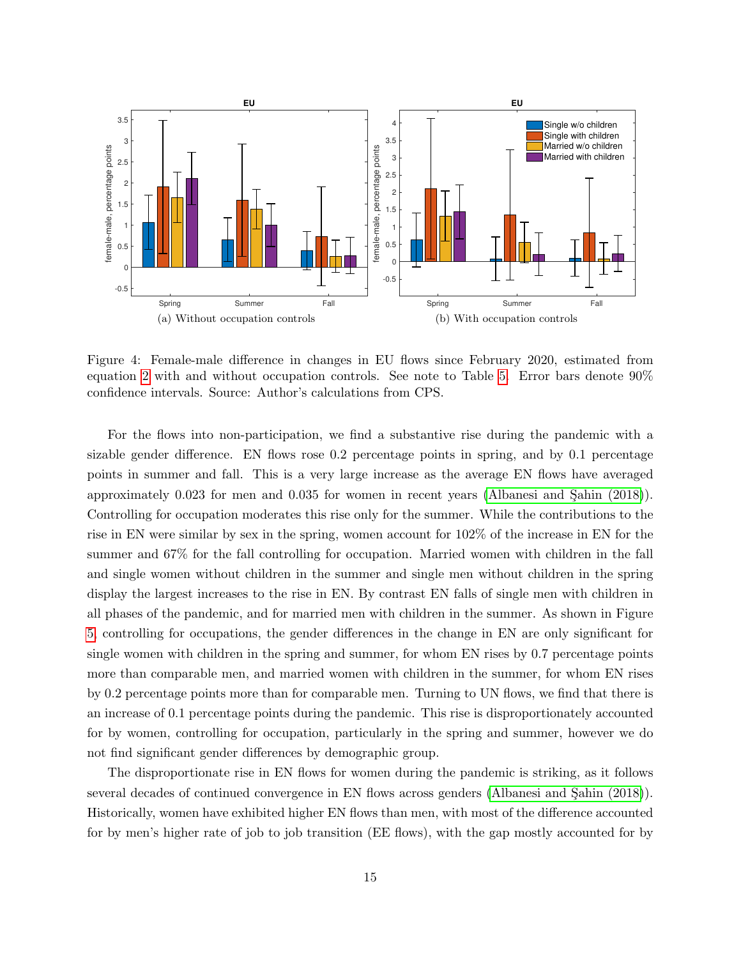<span id="page-15-0"></span>

Figure 4: Female-male difference in changes in EU flows since February 2020, estimated from equation [2](#page-10-2) with and without occupation controls. See note to Table [5.](#page-14-0) Error bars denote 90% confidence intervals. Source: Author's calculations from CPS.

For the flows into non-participation, we find a substantive rise during the pandemic with a sizable gender difference. EN flows rose 0.2 percentage points in spring, and by 0.1 percentage points in summer and fall. This is a very large increase as the average EN flows have averaged approximately  $0.023$  for men and  $0.035$  for women in recent years (Albanesi and Sahin  $(2018)$ ). Controlling for occupation moderates this rise only for the summer. While the contributions to the rise in EN were similar by sex in the spring, women account for 102% of the increase in EN for the summer and 67% for the fall controlling for occupation. Married women with children in the fall and single women without children in the summer and single men without children in the spring display the largest increases to the rise in EN. By contrast EN falls of single men with children in all phases of the pandemic, and for married men with children in the summer. As shown in Figure [5,](#page-16-0) controlling for occupations, the gender differences in the change in EN are only significant for single women with children in the spring and summer, for whom EN rises by 0.7 percentage points more than comparable men, and married women with children in the summer, for whom EN rises by 0.2 percentage points more than for comparable men. Turning to UN flows, we find that there is an increase of 0.1 percentage points during the pandemic. This rise is disproportionately accounted for by women, controlling for occupation, particularly in the spring and summer, however we do not find significant gender differences by demographic group.

The disproportionate rise in EN flows for women during the pandemic is striking, as it follows several decades of continued convergence in EN flows across genders (Albanesi and Sahin (2018)). Historically, women have exhibited higher EN flows than men, with most of the difference accounted for by men's higher rate of job to job transition (EE flows), with the gap mostly accounted for by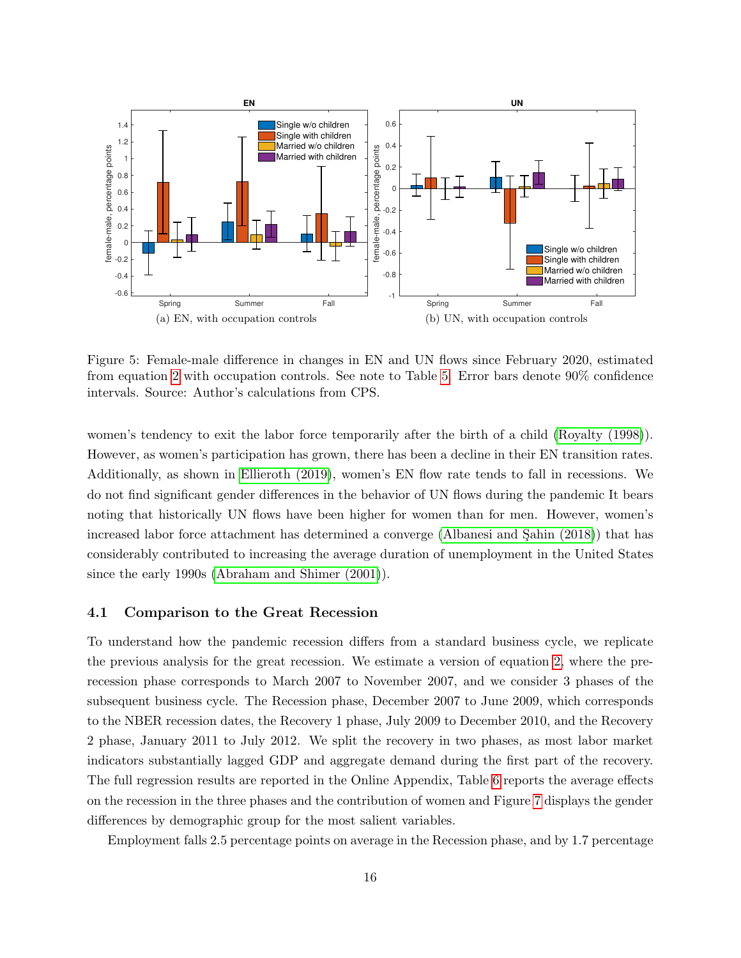<span id="page-16-0"></span>

Figure 5: Female-male difference in changes in EN and UN flows since February 2020, estimated from equation [2](#page-10-2) with occupation controls. See note to Table [5.](#page-14-0) Error bars denote 90% confidence intervals. Source: Author's calculations from CPS.

women's tendency to exit the labor force temporarily after the birth of a child [\(Royalty \(1998\)](#page-27-14)). However, as women's participation has grown, there has been a decline in their EN transition rates. Additionally, as shown in [Ellieroth \(2019\)](#page-26-1), women's EN flow rate tends to fall in recessions. We do not find significant gender differences in the behavior of UN flows during the pandemic It bears noting that historically UN flows have been higher for women than for men. However, women's increased labor force attachment has determined a converge (Albanesi and Sahin (2018)) that has considerably contributed to increasing the average duration of unemployment in the United States since the early 1990s [\(Abraham and Shimer \(2001\)](#page-25-8)).

#### <span id="page-16-1"></span>4.1 Comparison to the Great Recession

To understand how the pandemic recession differs from a standard business cycle, we replicate the previous analysis for the great recession. We estimate a version of equation [2,](#page-10-2) where the prerecession phase corresponds to March 2007 to November 2007, and we consider 3 phases of the subsequent business cycle. The Recession phase, December 2007 to June 2009, which corresponds to the NBER recession dates, the Recovery 1 phase, July 2009 to December 2010, and the Recovery 2 phase, January 2011 to July 2012. We split the recovery in two phases, as most labor market indicators substantially lagged GDP and aggregate demand during the first part of the recovery. The full regression results are reported in the Online Appendix, Table [6](#page-18-0) reports the average effects on the recession in the three phases and the contribution of women and Figure [7](#page-21-0) displays the gender differences by demographic group for the most salient variables.

Employment falls 2.5 percentage points on average in the Recession phase, and by 1.7 percentage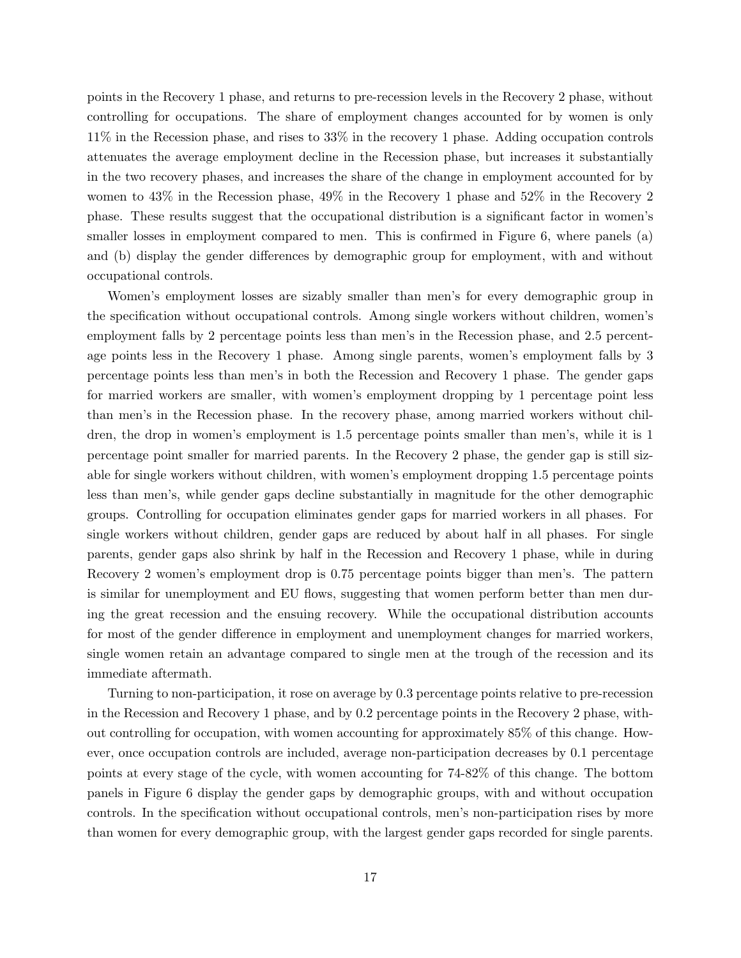points in the Recovery 1 phase, and returns to pre-recession levels in the Recovery 2 phase, without controlling for occupations. The share of employment changes accounted for by women is only 11% in the Recession phase, and rises to 33% in the recovery 1 phase. Adding occupation controls attenuates the average employment decline in the Recession phase, but increases it substantially in the two recovery phases, and increases the share of the change in employment accounted for by women to 43% in the Recession phase, 49% in the Recovery 1 phase and 52% in the Recovery 2 phase. These results suggest that the occupational distribution is a significant factor in women's smaller losses in employment compared to men. This is confirmed in Figure 6, where panels (a) and (b) display the gender differences by demographic group for employment, with and without occupational controls.

Women's employment losses are sizably smaller than men's for every demographic group in the specification without occupational controls. Among single workers without children, women's employment falls by 2 percentage points less than men's in the Recession phase, and 2.5 percentage points less in the Recovery 1 phase. Among single parents, women's employment falls by 3 percentage points less than men's in both the Recession and Recovery 1 phase. The gender gaps for married workers are smaller, with women's employment dropping by 1 percentage point less than men's in the Recession phase. In the recovery phase, among married workers without children, the drop in women's employment is 1.5 percentage points smaller than men's, while it is 1 percentage point smaller for married parents. In the Recovery 2 phase, the gender gap is still sizable for single workers without children, with women's employment dropping 1.5 percentage points less than men's, while gender gaps decline substantially in magnitude for the other demographic groups. Controlling for occupation eliminates gender gaps for married workers in all phases. For single workers without children, gender gaps are reduced by about half in all phases. For single parents, gender gaps also shrink by half in the Recession and Recovery 1 phase, while in during Recovery 2 women's employment drop is 0.75 percentage points bigger than men's. The pattern is similar for unemployment and EU flows, suggesting that women perform better than men during the great recession and the ensuing recovery. While the occupational distribution accounts for most of the gender difference in employment and unemployment changes for married workers, single women retain an advantage compared to single men at the trough of the recession and its immediate aftermath.

Turning to non-participation, it rose on average by 0.3 percentage points relative to pre-recession in the Recession and Recovery 1 phase, and by 0.2 percentage points in the Recovery 2 phase, without controlling for occupation, with women accounting for approximately 85% of this change. However, once occupation controls are included, average non-participation decreases by 0.1 percentage points at every stage of the cycle, with women accounting for 74-82% of this change. The bottom panels in Figure 6 display the gender gaps by demographic groups, with and without occupation controls. In the specification without occupational controls, men's non-participation rises by more than women for every demographic group, with the largest gender gaps recorded for single parents.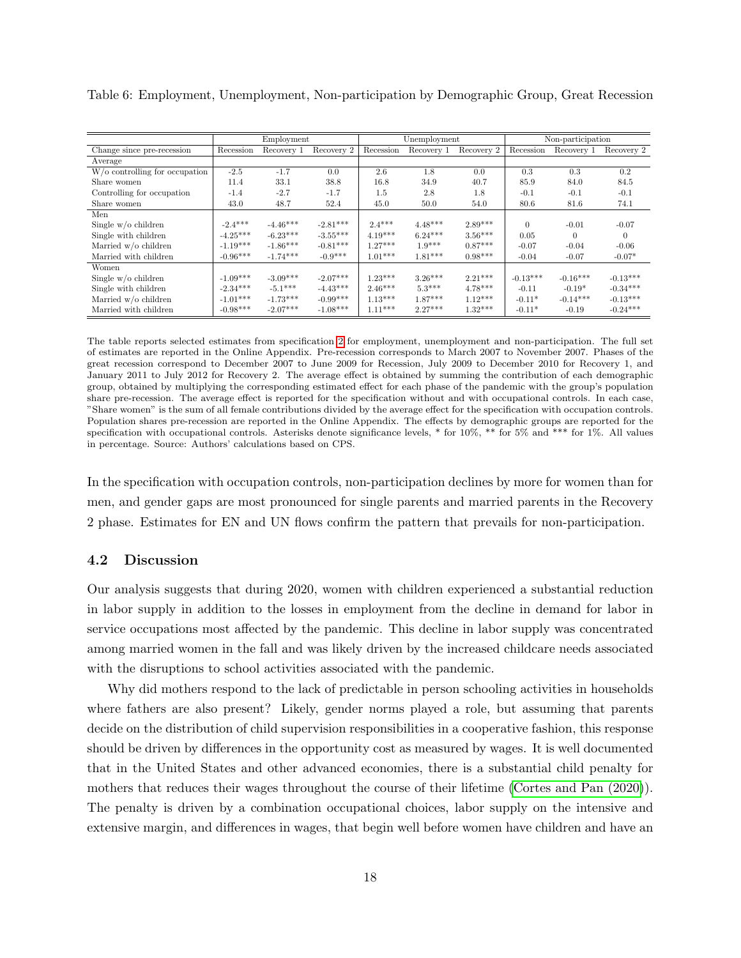|                                             |            | Employment |            |           | Unemployment |            | Non-participation |            |            |  |
|---------------------------------------------|------------|------------|------------|-----------|--------------|------------|-------------------|------------|------------|--|
| Change since pre-recession                  | Recession  | Recovery 1 | Recovery 2 | Recession | Recovery 1   | Recovery 2 | Recession         | Recovery 1 | Recovery 2 |  |
| Average                                     |            |            |            |           |              |            |                   |            |            |  |
| $\overline{W/o}$ controlling for occupation | $-2.5$     | $-1.7$     | 0.0        | 2.6       | 1.8          | 0.0        | 0.3               | 0.3        | 0.2        |  |
| Share women                                 | 11.4       | 33.1       | 38.8       | 16.8      | 34.9         | 40.7       | 85.9              | 84.0       | 84.5       |  |
| Controlling for occupation                  | $-1.4$     | $-2.7$     | $-1.7$     | 1.5       | 2.8          | 1.8        | $-0.1$            | $-0.1$     | $-0.1$     |  |
| Share women                                 | 43.0       | 48.7       | 52.4       | 45.0      | 50.0         | 54.0       | 80.6              | 81.6       | 74.1       |  |
| Men                                         |            |            |            |           |              |            |                   |            |            |  |
| Single $w/o$ children                       | $-2.4***$  | $-4.46***$ | $-2.81***$ | $2.4***$  | $4.48***$    | $2.89***$  | $\theta$          | $-0.01$    | $-0.07$    |  |
| Single with children                        | $-4.25***$ | $-6.23***$ | $-3.55***$ | $4.19***$ | $6.24***$    | $3.56***$  | 0.05              | $\Omega$   | $\Omega$   |  |
| Married w/o children                        | $-1.19***$ | $-1.86***$ | $-0.81***$ | $1.27***$ | $1.9***$     | $0.87***$  | $-0.07$           | $-0.04$    | $-0.06$    |  |
| Married with children                       | $-0.96***$ | $-1.74***$ | $-0.9***$  | $1.01***$ | $1.81***$    | $0.98***$  | $-0.04$           | $-0.07$    | $-0.07*$   |  |
| Women                                       |            |            |            |           |              |            |                   |            |            |  |
| Single $w/o$ children                       | $-1.09***$ | $-3.09***$ | $-2.07***$ | $1.23***$ | $3.26***$    | $2.21***$  | $-0.13***$        | $-0.16***$ | $-0.13***$ |  |
| Single with children                        | $-2.34***$ | $-5.1***$  | $-4.43***$ | $2.46***$ | $5.3***$     | $4.78***$  | $-0.11$           | $-0.19*$   | $-0.34***$ |  |
| Married w/o children                        | $-1.01***$ | $-1.73***$ | $-0.99***$ | $1.13***$ | $1.87***$    | $1.12***$  | $-0.11*$          | $-0.14***$ | $-0.13***$ |  |
| Married with children                       | $-0.98***$ | $-2.07***$ | $-1.08***$ | $1.11***$ | $2.27***$    | $1.32***$  | $-0.11*$          | $-0.19$    | $-0.24***$ |  |

<span id="page-18-0"></span>Table 6: Employment, Unemployment, Non-participation by Demographic Group, Great Recession

The table reports selected estimates from specification [2](#page-10-2) for employment, unemployment and non-participation. The full set of estimates are reported in the Online Appendix. Pre-recession corresponds to March 2007 to November 2007. Phases of the great recession correspond to December 2007 to June 2009 for Recession, July 2009 to December 2010 for Recovery 1, and January 2011 to July 2012 for Recovery 2. The average effect is obtained by summing the contribution of each demographic group, obtained by multiplying the corresponding estimated effect for each phase of the pandemic with the group's population share pre-recession. The average effect is reported for the specification without and with occupational controls. In each case, "Share women" is the sum of all female contributions divided by the average effect for the specification with occupation controls. Population shares pre-recession are reported in the Online Appendix. The effects by demographic groups are reported for the specification with occupational controls. Asterisks denote significance levels, \* for 10%, \*\* for 5% and \*\*\* for 1%. All values in percentage. Source: Authors' calculations based on CPS.

In the specification with occupation controls, non-participation declines by more for women than for men, and gender gaps are most pronounced for single parents and married parents in the Recovery 2 phase. Estimates for EN and UN flows confirm the pattern that prevails for non-participation.

#### 4.2 Discussion

Our analysis suggests that during 2020, women with children experienced a substantial reduction in labor supply in addition to the losses in employment from the decline in demand for labor in service occupations most affected by the pandemic. This decline in labor supply was concentrated among married women in the fall and was likely driven by the increased childcare needs associated with the disruptions to school activities associated with the pandemic.

Why did mothers respond to the lack of predictable in person schooling activities in households where fathers are also present? Likely, gender norms played a role, but assuming that parents decide on the distribution of child supervision responsibilities in a cooperative fashion, this response should be driven by differences in the opportunity cost as measured by wages. It is well documented that in the United States and other advanced economies, there is a substantial child penalty for mothers that reduces their wages throughout the course of their lifetime [\(Cortes and Pan \(2020\)](#page-26-9)). The penalty is driven by a combination occupational choices, labor supply on the intensive and extensive margin, and differences in wages, that begin well before women have children and have an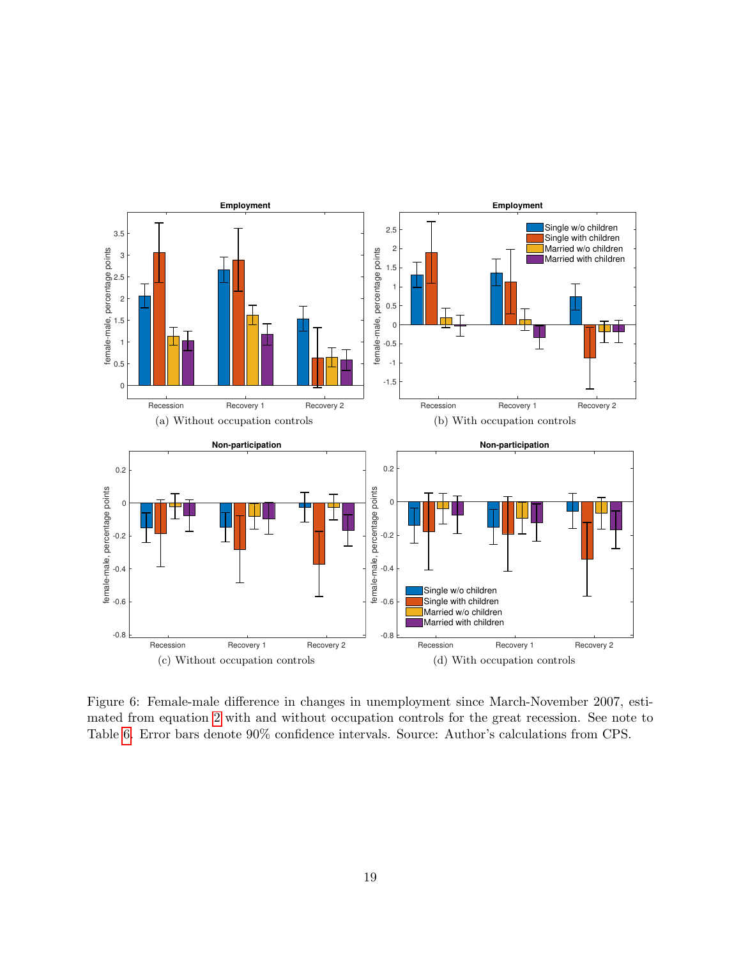

Figure 6: Female-male difference in changes in unemployment since March-November 2007, estimated from equation [2](#page-10-2) with and without occupation controls for the great recession. See note to Table [6.](#page-18-0) Error bars denote 90% confidence intervals. Source: Author's calculations from CPS.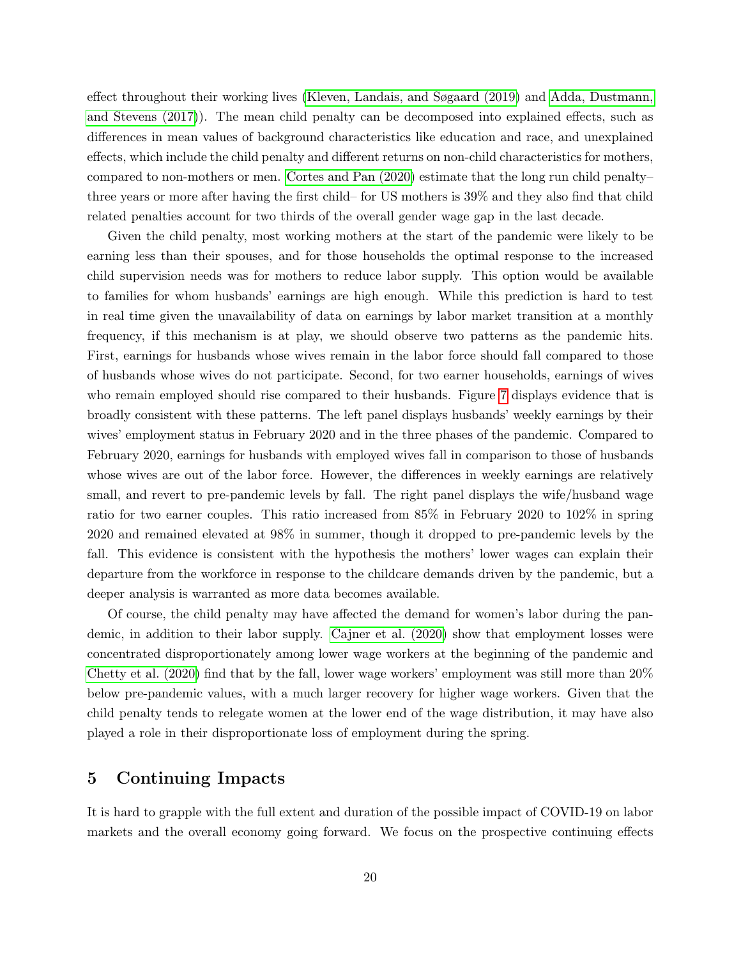effect throughout their working lives [\(Kleven, Landais, and Søgaard \(2019\)](#page-27-15) and [Adda, Dustmann,](#page-25-4) [and Stevens \(2017\)](#page-25-4)). The mean child penalty can be decomposed into explained effects, such as differences in mean values of background characteristics like education and race, and unexplained effects, which include the child penalty and different returns on non-child characteristics for mothers, compared to non-mothers or men. [Cortes and Pan \(2020\)](#page-26-9) estimate that the long run child penalty– three years or more after having the first child– for US mothers is 39% and they also find that child related penalties account for two thirds of the overall gender wage gap in the last decade.

Given the child penalty, most working mothers at the start of the pandemic were likely to be earning less than their spouses, and for those households the optimal response to the increased child supervision needs was for mothers to reduce labor supply. This option would be available to families for whom husbands' earnings are high enough. While this prediction is hard to test in real time given the unavailability of data on earnings by labor market transition at a monthly frequency, if this mechanism is at play, we should observe two patterns as the pandemic hits. First, earnings for husbands whose wives remain in the labor force should fall compared to those of husbands whose wives do not participate. Second, for two earner households, earnings of wives who remain employed should rise compared to their husbands. Figure [7](#page-21-0) displays evidence that is broadly consistent with these patterns. The left panel displays husbands' weekly earnings by their wives' employment status in February 2020 and in the three phases of the pandemic. Compared to February 2020, earnings for husbands with employed wives fall in comparison to those of husbands whose wives are out of the labor force. However, the differences in weekly earnings are relatively small, and revert to pre-pandemic levels by fall. The right panel displays the wife/husband wage ratio for two earner couples. This ratio increased from 85% in February 2020 to 102% in spring 2020 and remained elevated at 98% in summer, though it dropped to pre-pandemic levels by the fall. This evidence is consistent with the hypothesis the mothers' lower wages can explain their departure from the workforce in response to the childcare demands driven by the pandemic, but a deeper analysis is warranted as more data becomes available.

Of course, the child penalty may have affected the demand for women's labor during the pandemic, in addition to their labor supply. [Cajner et al. \(2020\)](#page-26-10) show that employment losses were concentrated disproportionately among lower wage workers at the beginning of the pandemic and [Chetty et al. \(2020\)](#page-26-2) find that by the fall, lower wage workers' employment was still more than 20% below pre-pandemic values, with a much larger recovery for higher wage workers. Given that the child penalty tends to relegate women at the lower end of the wage distribution, it may have also played a role in their disproportionate loss of employment during the spring.

## <span id="page-20-0"></span>5 Continuing Impacts

It is hard to grapple with the full extent and duration of the possible impact of COVID-19 on labor markets and the overall economy going forward. We focus on the prospective continuing effects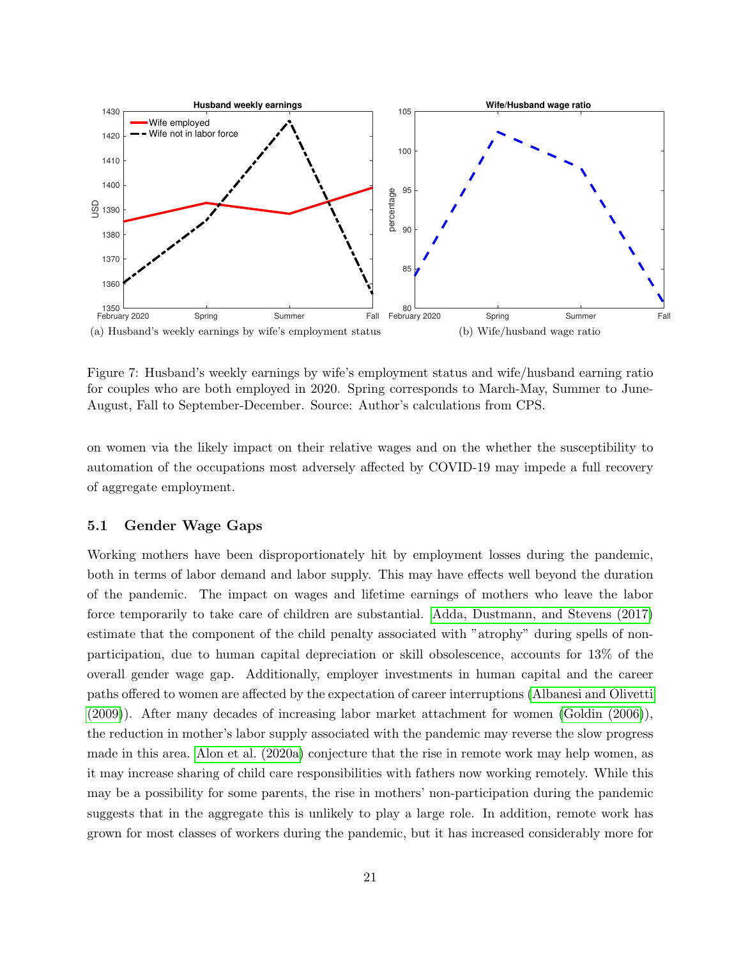<span id="page-21-0"></span>

Figure 7: Husband's weekly earnings by wife's employment status and wife/husband earning ratio for couples who are both employed in 2020. Spring corresponds to March-May, Summer to June-August, Fall to September-December. Source: Author's calculations from CPS.

on women via the likely impact on their relative wages and on the whether the susceptibility to automation of the occupations most adversely affected by COVID-19 may impede a full recovery of aggregate employment.

#### 5.1 Gender Wage Gaps

Working mothers have been disproportionately hit by employment losses during the pandemic, both in terms of labor demand and labor supply. This may have effects well beyond the duration of the pandemic. The impact on wages and lifetime earnings of mothers who leave the labor force temporarily to take care of children are substantial. [Adda, Dustmann, and Stevens \(2017\)](#page-25-4) estimate that the component of the child penalty associated with "atrophy" during spells of nonparticipation, due to human capital depreciation or skill obsolescence, accounts for 13% of the overall gender wage gap. Additionally, employer investments in human capital and the career paths offered to women are affected by the expectation of career interruptions [\(Albanesi and Olivetti](#page-25-9) [\(2009\)](#page-25-9)). After many decades of increasing labor market attachment for women [\(Goldin \(2006\)](#page-26-11)), the reduction in mother's labor supply associated with the pandemic may reverse the slow progress made in this area. [Alon et al. \(2020a\)](#page-25-10) conjecture that the rise in remote work may help women, as it may increase sharing of child care responsibilities with fathers now working remotely. While this may be a possibility for some parents, the rise in mothers' non-participation during the pandemic suggests that in the aggregate this is unlikely to play a large role. In addition, remote work has grown for most classes of workers during the pandemic, but it has increased considerably more for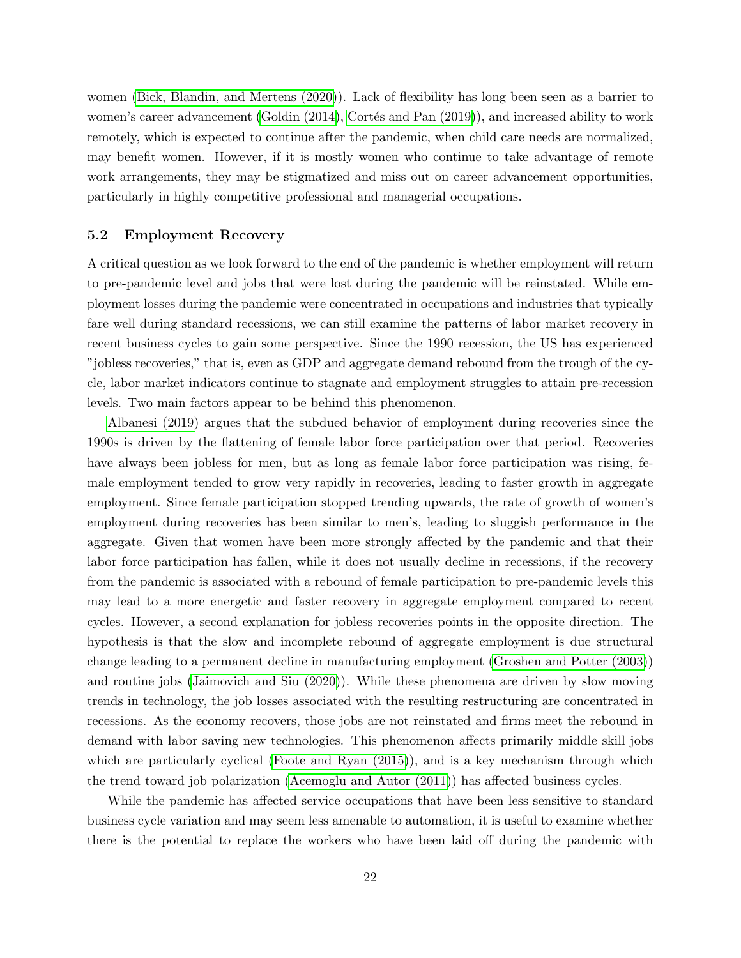women [\(Bick, Blandin, and Mertens \(2020\)](#page-25-11)). Lack of flexibility has long been seen as a barrier to women's career advancement (Goldin  $(2014)$ , Cortés and Pan  $(2019)$ ), and increased ability to work remotely, which is expected to continue after the pandemic, when child care needs are normalized, may benefit women. However, if it is mostly women who continue to take advantage of remote work arrangements, they may be stigmatized and miss out on career advancement opportunities, particularly in highly competitive professional and managerial occupations.

#### 5.2 Employment Recovery

A critical question as we look forward to the end of the pandemic is whether employment will return to pre-pandemic level and jobs that were lost during the pandemic will be reinstated. While employment losses during the pandemic were concentrated in occupations and industries that typically fare well during standard recessions, we can still examine the patterns of labor market recovery in recent business cycles to gain some perspective. Since the 1990 recession, the US has experienced "jobless recoveries," that is, even as GDP and aggregate demand rebound from the trough of the cycle, labor market indicators continue to stagnate and employment struggles to attain pre-recession levels. Two main factors appear to be behind this phenomenon.

[Albanesi \(2019\)](#page-25-0) argues that the subdued behavior of employment during recoveries since the 1990s is driven by the flattening of female labor force participation over that period. Recoveries have always been jobless for men, but as long as female labor force participation was rising, female employment tended to grow very rapidly in recoveries, leading to faster growth in aggregate employment. Since female participation stopped trending upwards, the rate of growth of women's employment during recoveries has been similar to men's, leading to sluggish performance in the aggregate. Given that women have been more strongly affected by the pandemic and that their labor force participation has fallen, while it does not usually decline in recessions, if the recovery from the pandemic is associated with a rebound of female participation to pre-pandemic levels this may lead to a more energetic and faster recovery in aggregate employment compared to recent cycles. However, a second explanation for jobless recoveries points in the opposite direction. The hypothesis is that the slow and incomplete rebound of aggregate employment is due structural change leading to a permanent decline in manufacturing employment [\(Groshen and Potter \(2003\)](#page-26-3)) and routine jobs [\(Jaimovich and Siu \(2020\)](#page-27-1)). While these phenomena are driven by slow moving trends in technology, the job losses associated with the resulting restructuring are concentrated in recessions. As the economy recovers, those jobs are not reinstated and firms meet the rebound in demand with labor saving new technologies. This phenomenon affects primarily middle skill jobs which are particularly cyclical (Foote and Ryan  $(2015)$ ), and is a key mechanism through which the trend toward job polarization [\(Acemoglu and Autor \(2011\)](#page-25-12)) has affected business cycles.

While the pandemic has affected service occupations that have been less sensitive to standard business cycle variation and may seem less amenable to automation, it is useful to examine whether there is the potential to replace the workers who have been laid off during the pandemic with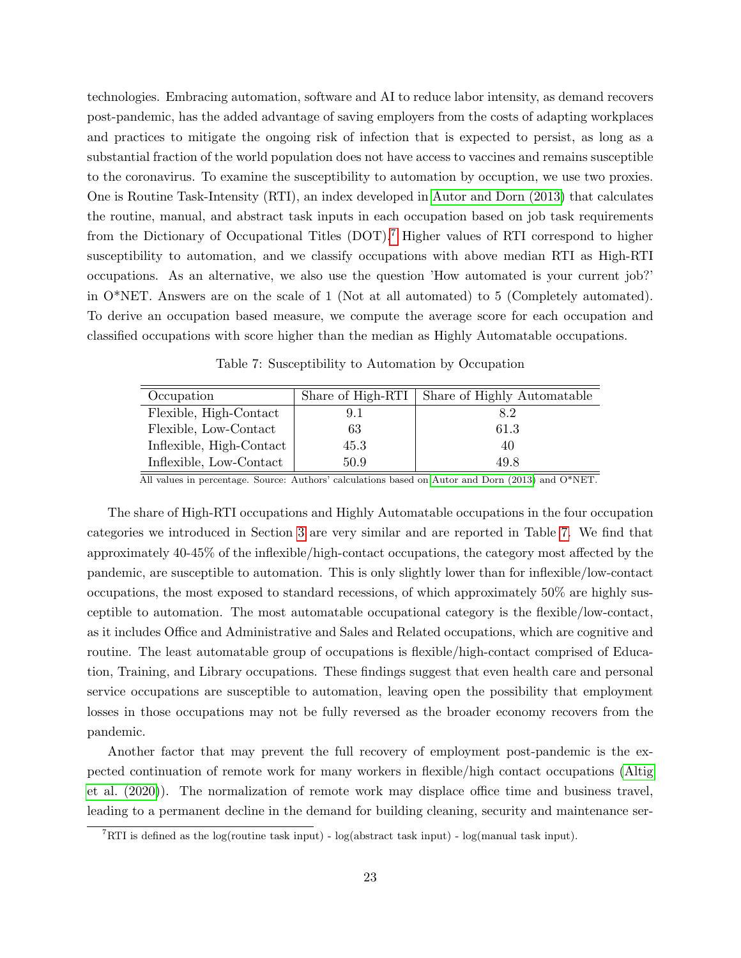technologies. Embracing automation, software and AI to reduce labor intensity, as demand recovers post-pandemic, has the added advantage of saving employers from the costs of adapting workplaces and practices to mitigate the ongoing risk of infection that is expected to persist, as long as a substantial fraction of the world population does not have access to vaccines and remains susceptible to the coronavirus. To examine the susceptibility to automation by occuption, we use two proxies. One is Routine Task-Intensity (RTI), an index developed in [Autor and Dorn \(2013\)](#page-25-5) that calculates the routine, manual, and abstract task inputs in each occupation based on job task requirements from the Dictionary of Occupational Titles (DOT).[7](#page-23-0) Higher values of RTI correspond to higher susceptibility to automation, and we classify occupations with above median RTI as High-RTI occupations. As an alternative, we also use the question 'How automated is your current job?' in O\*NET. Answers are on the scale of 1 (Not at all automated) to 5 (Completely automated). To derive an occupation based measure, we compute the average score for each occupation and classified occupations with score higher than the median as Highly Automatable occupations.

Table 7: Susceptibility to Automation by Occupation

<span id="page-23-1"></span>

| Occupation               | Share of High-RTI | Share of Highly Automatable |
|--------------------------|-------------------|-----------------------------|
| Flexible, High-Contact   | 9.1               | 8.2                         |
| Flexible, Low-Contact    | 63                | 61.3                        |
| Inflexible, High-Contact | 45.3              | 40                          |
| Inflexible, Low-Contact  | 50.9              | 49.8                        |

All values in percentage. Source: Authors' calculations based on [Autor and Dorn \(2013\)](#page-25-5) and O\*NET.

The share of High-RTI occupations and Highly Automatable occupations in the four occupation categories we introduced in Section [3](#page-5-0) are very similar and are reported in Table [7.](#page-23-1) We find that approximately 40-45% of the inflexible/high-contact occupations, the category most affected by the pandemic, are susceptible to automation. This is only slightly lower than for inflexible/low-contact occupations, the most exposed to standard recessions, of which approximately 50% are highly susceptible to automation. The most automatable occupational category is the flexible/low-contact, as it includes Office and Administrative and Sales and Related occupations, which are cognitive and routine. The least automatable group of occupations is flexible/high-contact comprised of Education, Training, and Library occupations. These findings suggest that even health care and personal service occupations are susceptible to automation, leaving open the possibility that employment losses in those occupations may not be fully reversed as the broader economy recovers from the pandemic.

Another factor that may prevent the full recovery of employment post-pandemic is the expected continuation of remote work for many workers in flexible/high contact occupations [\(Altig](#page-25-13) [et al. \(2020\)](#page-25-13)). The normalization of remote work may displace office time and business travel, leading to a permanent decline in the demand for building cleaning, security and maintenance ser-

<span id="page-23-0"></span><sup>&</sup>lt;sup>7</sup>RTI is defined as the log(routine task input) - log(abstract task input) - log(manual task input).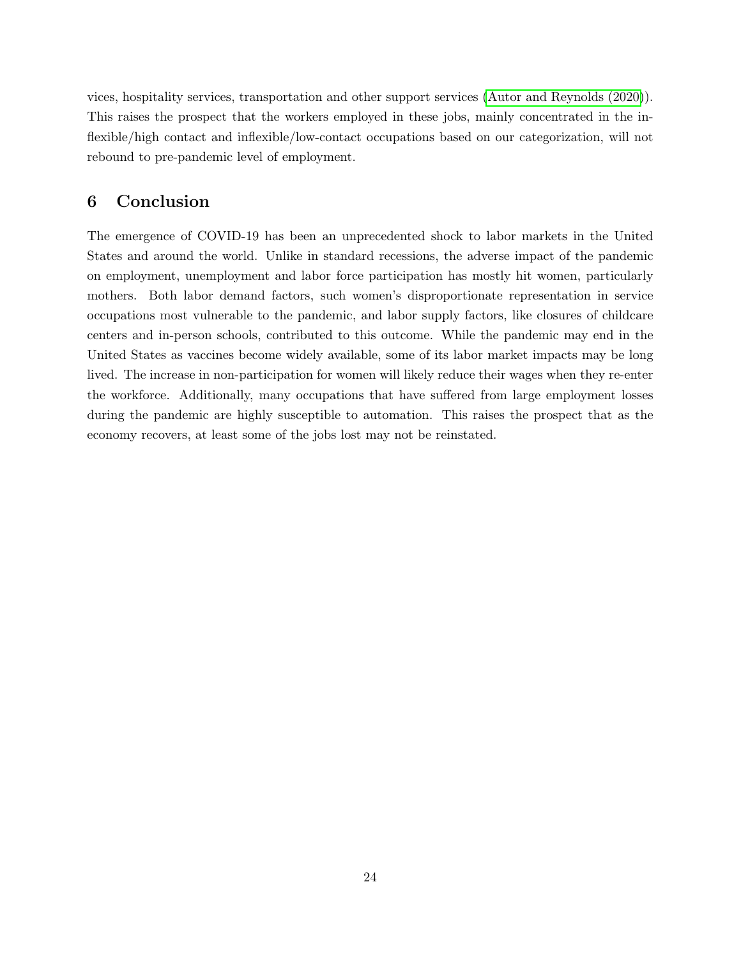vices, hospitality services, transportation and other support services [\(Autor and Reynolds \(2020\)](#page-25-14)). This raises the prospect that the workers employed in these jobs, mainly concentrated in the inflexible/high contact and inflexible/low-contact occupations based on our categorization, will not rebound to pre-pandemic level of employment.

## 6 Conclusion

The emergence of COVID-19 has been an unprecedented shock to labor markets in the United States and around the world. Unlike in standard recessions, the adverse impact of the pandemic on employment, unemployment and labor force participation has mostly hit women, particularly mothers. Both labor demand factors, such women's disproportionate representation in service occupations most vulnerable to the pandemic, and labor supply factors, like closures of childcare centers and in-person schools, contributed to this outcome. While the pandemic may end in the United States as vaccines become widely available, some of its labor market impacts may be long lived. The increase in non-participation for women will likely reduce their wages when they re-enter the workforce. Additionally, many occupations that have suffered from large employment losses during the pandemic are highly susceptible to automation. This raises the prospect that as the economy recovers, at least some of the jobs lost may not be reinstated.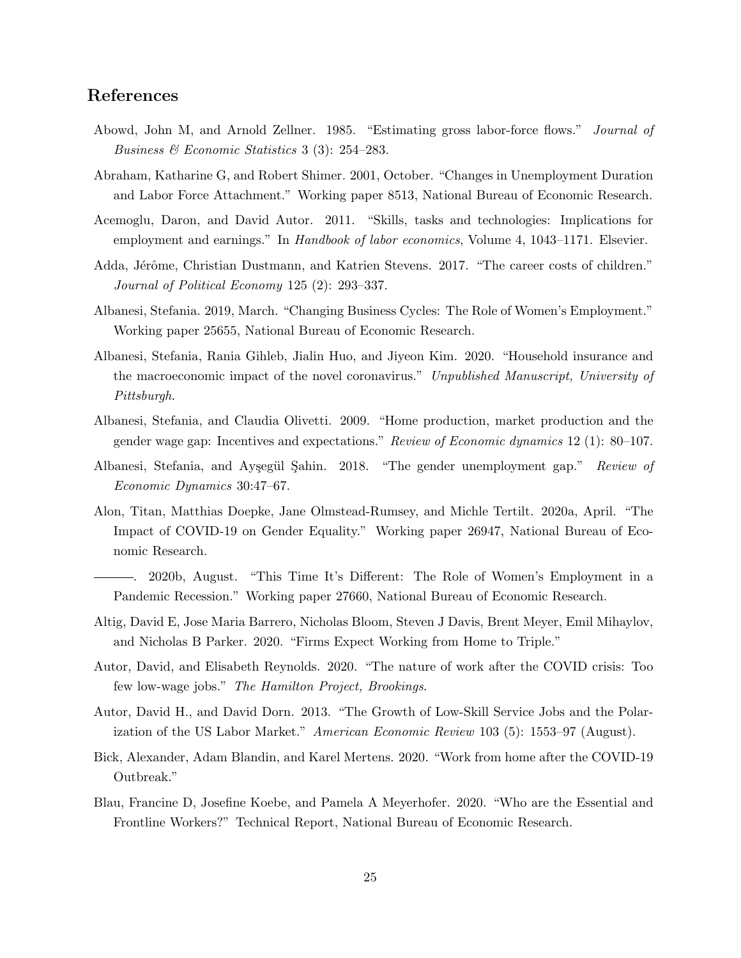## References

- <span id="page-25-7"></span>Abowd, John M, and Arnold Zellner. 1985. "Estimating gross labor-force flows." Journal of Business & Economic Statistics 3 (3): 254–283.
- <span id="page-25-8"></span>Abraham, Katharine G, and Robert Shimer. 2001, October. "Changes in Unemployment Duration and Labor Force Attachment." Working paper 8513, National Bureau of Economic Research.
- <span id="page-25-12"></span>Acemoglu, Daron, and David Autor. 2011. "Skills, tasks and technologies: Implications for employment and earnings." In *Handbook of labor economics*, Volume 4, 1043–1171. Elsevier.
- <span id="page-25-4"></span>Adda, Jérôme, Christian Dustmann, and Katrien Stevens. 2017. "The career costs of children." Journal of Political Economy 125 (2): 293–337.
- <span id="page-25-0"></span>Albanesi, Stefania. 2019, March. "Changing Business Cycles: The Role of Women's Employment." Working paper 25655, National Bureau of Economic Research.
- <span id="page-25-2"></span>Albanesi, Stefania, Rania Gihleb, Jialin Huo, and Jiyeon Kim. 2020. "Household insurance and the macroeconomic impact of the novel coronavirus." Unpublished Manuscript, University of Pittsburgh.
- <span id="page-25-9"></span>Albanesi, Stefania, and Claudia Olivetti. 2009. "Home production, market production and the gender wage gap: Incentives and expectations." Review of Economic dynamics 12 (1): 80–107.
- <span id="page-25-1"></span>Albanesi, Stefania, and Ayşegül Sahin. 2018. "The gender unemployment gap." Review of Economic Dynamics 30:47–67.
- <span id="page-25-10"></span>Alon, Titan, Matthias Doepke, Jane Olmstead-Rumsey, and Michle Tertilt. 2020a, April. "The Impact of COVID-19 on Gender Equality." Working paper 26947, National Bureau of Economic Research.
- <span id="page-25-3"></span>. 2020b, August. "This Time It's Different: The Role of Women's Employment in a Pandemic Recession." Working paper 27660, National Bureau of Economic Research.
- <span id="page-25-13"></span>Altig, David E, Jose Maria Barrero, Nicholas Bloom, Steven J Davis, Brent Meyer, Emil Mihaylov, and Nicholas B Parker. 2020. "Firms Expect Working from Home to Triple."
- <span id="page-25-14"></span>Autor, David, and Elisabeth Reynolds. 2020. "The nature of work after the COVID crisis: Too few low-wage jobs." The Hamilton Project, Brookings.
- <span id="page-25-5"></span>Autor, David H., and David Dorn. 2013. "The Growth of Low-Skill Service Jobs and the Polarization of the US Labor Market." American Economic Review 103 (5): 1553–97 (August).
- <span id="page-25-11"></span>Bick, Alexander, Adam Blandin, and Karel Mertens. 2020. "Work from home after the COVID-19 Outbreak."
- <span id="page-25-6"></span>Blau, Francine D, Josefine Koebe, and Pamela A Meyerhofer. 2020. "Who are the Essential and Frontline Workers?" Technical Report, National Bureau of Economic Research.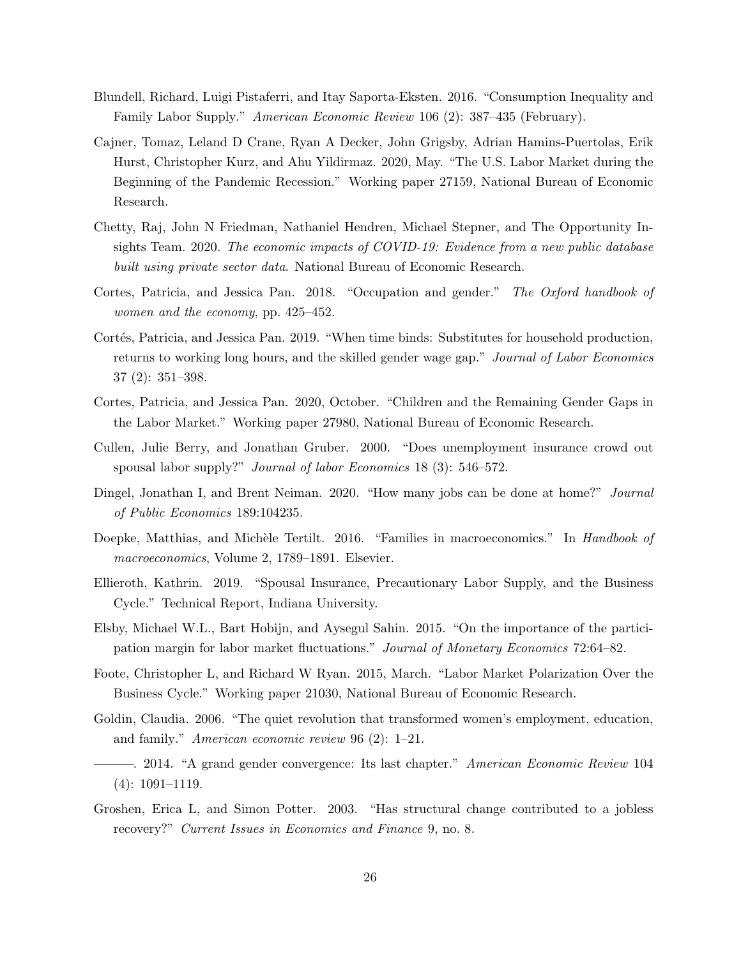- <span id="page-26-6"></span>Blundell, Richard, Luigi Pistaferri, and Itay Saporta-Eksten. 2016. "Consumption Inequality and Family Labor Supply." American Economic Review 106 (2): 387–435 (February).
- <span id="page-26-10"></span>Cajner, Tomaz, Leland D Crane, Ryan A Decker, John Grigsby, Adrian Hamins-Puertolas, Erik Hurst, Christopher Kurz, and Ahu Yildirmaz. 2020, May. "The U.S. Labor Market during the Beginning of the Pandemic Recession." Working paper 27159, National Bureau of Economic Research.
- <span id="page-26-2"></span>Chetty, Raj, John N Friedman, Nathaniel Hendren, Michael Stepner, and The Opportunity Insights Team. 2020. The economic impacts of COVID-19: Evidence from a new public database built using private sector data. National Bureau of Economic Research.
- <span id="page-26-4"></span>Cortes, Patricia, and Jessica Pan. 2018. "Occupation and gender." The Oxford handbook of women and the economy, pp. 425–452.
- <span id="page-26-13"></span>Cortés, Patricia, and Jessica Pan. 2019. "When time binds: Substitutes for household production, returns to working long hours, and the skilled gender wage gap." Journal of Labor Economics 37 (2): 351–398.
- <span id="page-26-9"></span>Cortes, Patricia, and Jessica Pan. 2020, October. "Children and the Remaining Gender Gaps in the Labor Market." Working paper 27980, National Bureau of Economic Research.
- <span id="page-26-5"></span>Cullen, Julie Berry, and Jonathan Gruber. 2000. "Does unemployment insurance crowd out spousal labor supply?" *Journal of labor Economics* 18 (3): 546–572.
- <span id="page-26-7"></span>Dingel, Jonathan I, and Brent Neiman. 2020. "How many jobs can be done at home?" Journal of Public Economics 189:104235.
- <span id="page-26-0"></span>Doepke, Matthias, and Michèle Tertilt. 2016. "Families in macroeconomics." In Handbook of macroeconomics, Volume 2, 1789–1891. Elsevier.
- <span id="page-26-1"></span>Ellieroth, Kathrin. 2019. "Spousal Insurance, Precautionary Labor Supply, and the Business Cycle." Technical Report, Indiana University.
- <span id="page-26-8"></span>Elsby, Michael W.L., Bart Hobijn, and Aysegul Sahin. 2015. "On the importance of the participation margin for labor market fluctuations." Journal of Monetary Economics 72:64–82.
- <span id="page-26-14"></span>Foote, Christopher L, and Richard W Ryan. 2015, March. "Labor Market Polarization Over the Business Cycle." Working paper 21030, National Bureau of Economic Research.
- <span id="page-26-11"></span>Goldin, Claudia. 2006. "The quiet revolution that transformed women's employment, education, and family." American economic review 96 (2): 1–21.
- <span id="page-26-12"></span>. 2014. "A grand gender convergence: Its last chapter." American Economic Review 104 (4): 1091–1119.
- <span id="page-26-3"></span>Groshen, Erica L, and Simon Potter. 2003. "Has structural change contributed to a jobless recovery?" Current Issues in Economics and Finance 9, no. 8.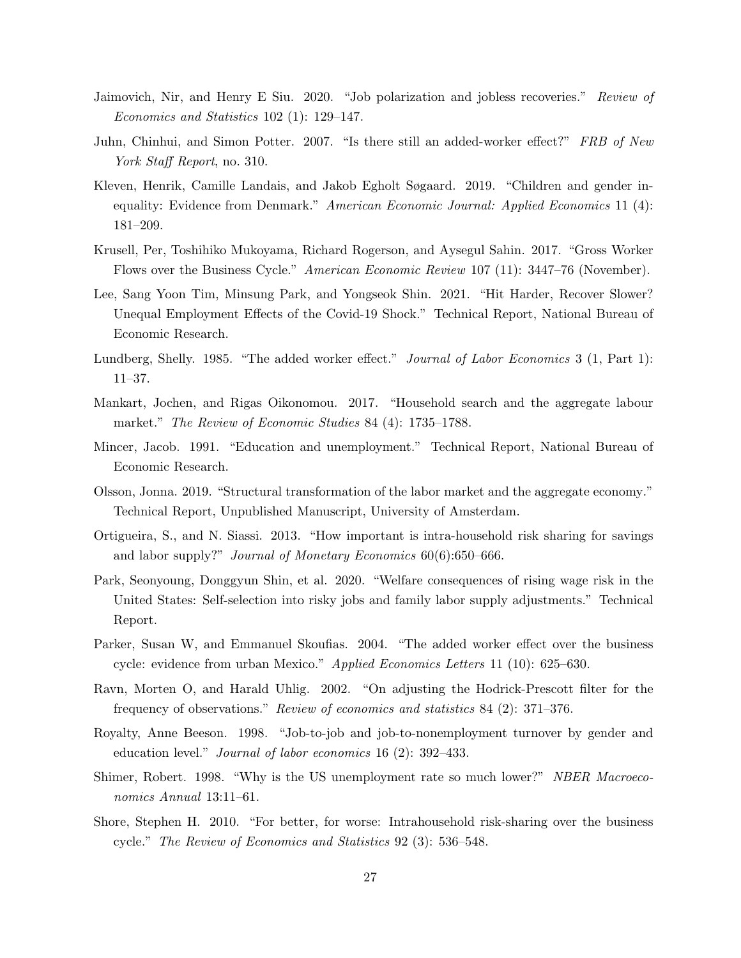- <span id="page-27-1"></span>Jaimovich, Nir, and Henry E Siu. 2020. "Job polarization and jobless recoveries." Review of Economics and Statistics 102 (1): 129–147.
- <span id="page-27-7"></span>Juhn, Chinhui, and Simon Potter. 2007. "Is there still an added-worker effect?" FRB of New York Staff Report, no. 310.
- <span id="page-27-15"></span>Kleven, Henrik, Camille Landais, and Jakob Egholt Søgaard. 2019. "Children and gender inequality: Evidence from Denmark." American Economic Journal: Applied Economics 11 (4): 181–209.
- <span id="page-27-13"></span>Krusell, Per, Toshihiko Mukoyama, Richard Rogerson, and Aysegul Sahin. 2017. "Gross Worker Flows over the Business Cycle." American Economic Review 107 (11): 3447–76 (November).
- <span id="page-27-12"></span>Lee, Sang Yoon Tim, Minsung Park, and Yongseok Shin. 2021. "Hit Harder, Recover Slower? Unequal Employment Effects of the Covid-19 Shock." Technical Report, National Bureau of Economic Research.
- <span id="page-27-5"></span>Lundberg, Shelly. 1985. "The added worker effect." Journal of Labor Economics 3 (1, Part 1): 11–37.
- <span id="page-27-11"></span>Mankart, Jochen, and Rigas Oikonomou. 2017. "Household search and the aggregate labour market." *The Review of Economic Studies* 84 (4): 1735–1788.
- <span id="page-27-3"></span>Mincer, Jacob. 1991. "Education and unemployment." Technical Report, National Bureau of Economic Research.
- <span id="page-27-0"></span>Olsson, Jonna. 2019. "Structural transformation of the labor market and the aggregate economy." Technical Report, Unpublished Manuscript, University of Amsterdam.
- <span id="page-27-10"></span>Ortigueira, S., and N. Siassi. 2013. "How important is intra-household risk sharing for savings and labor supply?" Journal of Monetary Economics 60(6):650–666.
- <span id="page-27-9"></span>Park, Seonyoung, Donggyun Shin, et al. 2020. "Welfare consequences of rising wage risk in the United States: Self-selection into risky jobs and family labor supply adjustments." Technical Report.
- <span id="page-27-6"></span>Parker, Susan W, and Emmanuel Skoufias. 2004. "The added worker effect over the business cycle: evidence from urban Mexico." Applied Economics Letters 11 (10): 625–630.
- <span id="page-27-2"></span>Ravn, Morten O, and Harald Uhlig. 2002. "On adjusting the Hodrick-Prescott filter for the frequency of observations." Review of economics and statistics 84 (2): 371–376.
- <span id="page-27-14"></span>Royalty, Anne Beeson. 1998. "Job-to-job and job-to-nonemployment turnover by gender and education level." Journal of labor economics 16 (2): 392–433.
- <span id="page-27-4"></span>Shimer, Robert. 1998. "Why is the US unemployment rate so much lower?" NBER Macroeconomics Annual 13:11–61.
- <span id="page-27-8"></span>Shore, Stephen H. 2010. "For better, for worse: Intrahousehold risk-sharing over the business cycle." The Review of Economics and Statistics 92 (3): 536–548.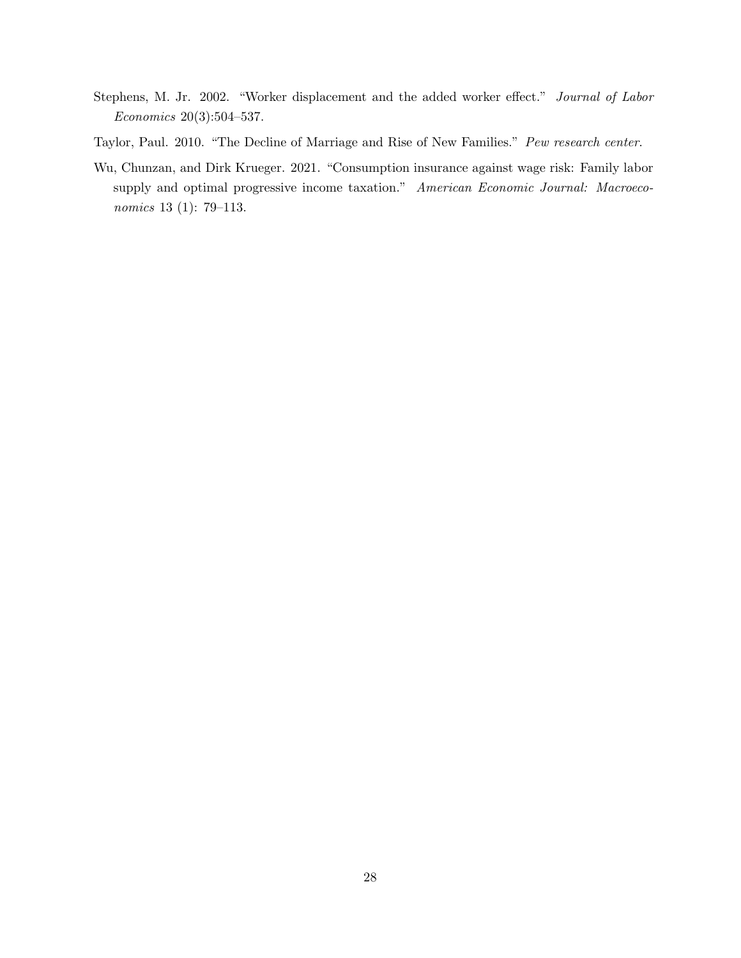- <span id="page-28-1"></span>Stephens, M. Jr. 2002. "Worker displacement and the added worker effect." Journal of Labor Economics 20(3):504–537.
- <span id="page-28-0"></span>Taylor, Paul. 2010. "The Decline of Marriage and Rise of New Families." Pew research center.
- <span id="page-28-2"></span>Wu, Chunzan, and Dirk Krueger. 2021. "Consumption insurance against wage risk: Family labor supply and optimal progressive income taxation." American Economic Journal: Macroeconomics 13 (1): 79–113.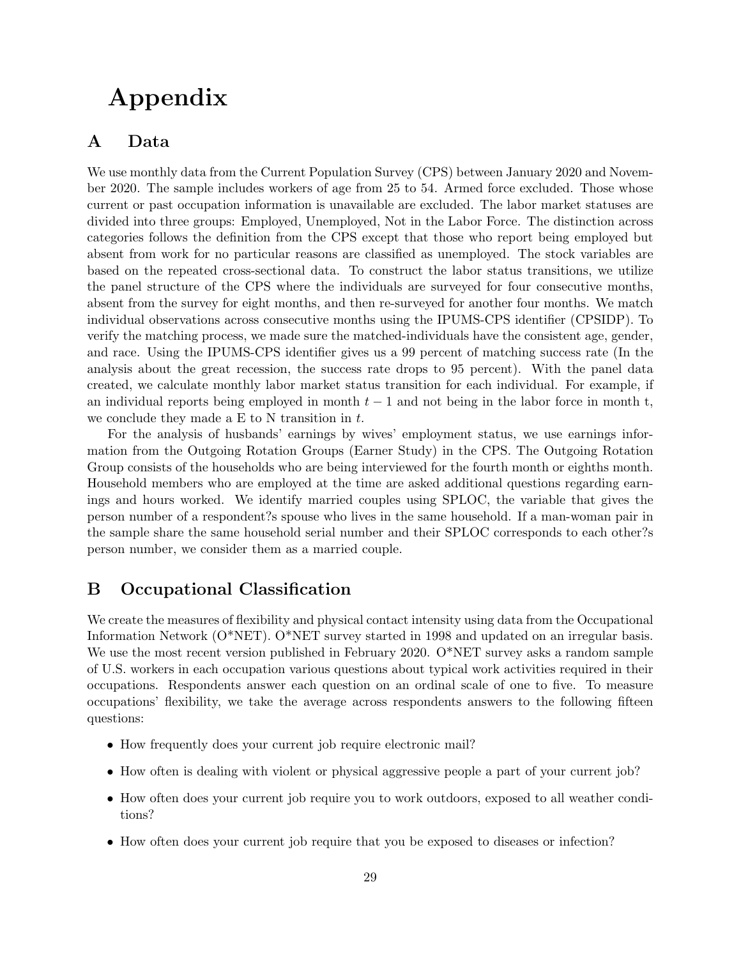# Appendix

## A Data

We use monthly data from the Current Population Survey (CPS) between January 2020 and November 2020. The sample includes workers of age from 25 to 54. Armed force excluded. Those whose current or past occupation information is unavailable are excluded. The labor market statuses are divided into three groups: Employed, Unemployed, Not in the Labor Force. The distinction across categories follows the definition from the CPS except that those who report being employed but absent from work for no particular reasons are classified as unemployed. The stock variables are based on the repeated cross-sectional data. To construct the labor status transitions, we utilize the panel structure of the CPS where the individuals are surveyed for four consecutive months, absent from the survey for eight months, and then re-surveyed for another four months. We match individual observations across consecutive months using the IPUMS-CPS identifier (CPSIDP). To verify the matching process, we made sure the matched-individuals have the consistent age, gender, and race. Using the IPUMS-CPS identifier gives us a 99 percent of matching success rate (In the analysis about the great recession, the success rate drops to 95 percent). With the panel data created, we calculate monthly labor market status transition for each individual. For example, if an individual reports being employed in month  $t - 1$  and not being in the labor force in month t, we conclude they made a  $E$  to N transition in  $t$ .

For the analysis of husbands' earnings by wives' employment status, we use earnings information from the Outgoing Rotation Groups (Earner Study) in the CPS. The Outgoing Rotation Group consists of the households who are being interviewed for the fourth month or eighths month. Household members who are employed at the time are asked additional questions regarding earnings and hours worked. We identify married couples using SPLOC, the variable that gives the person number of a respondent?s spouse who lives in the same household. If a man-woman pair in the sample share the same household serial number and their SPLOC corresponds to each other?s person number, we consider them as a married couple.

## B Occupational Classification

We create the measures of flexibility and physical contact intensity using data from the Occupational Information Network (O\*NET). O\*NET survey started in 1998 and updated on an irregular basis. We use the most recent version published in February 2020. O\*NET survey asks a random sample of U.S. workers in each occupation various questions about typical work activities required in their occupations. Respondents answer each question on an ordinal scale of one to five. To measure occupations' flexibility, we take the average across respondents answers to the following fifteen questions:

- How frequently does your current job require electronic mail?
- How often is dealing with violent or physical aggressive people a part of your current job?
- How often does your current job require you to work outdoors, exposed to all weather conditions?
- How often does your current job require that you be exposed to diseases or infection?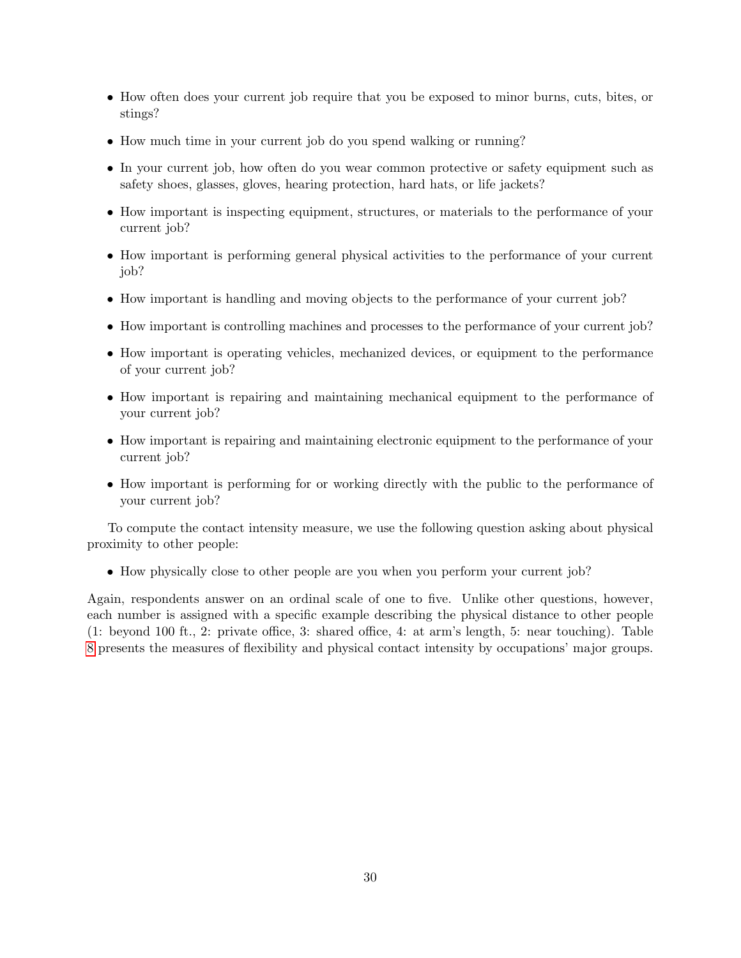- How often does your current job require that you be exposed to minor burns, cuts, bites, or stings?
- How much time in your current job do you spend walking or running?
- In your current job, how often do you wear common protective or safety equipment such as safety shoes, glasses, gloves, hearing protection, hard hats, or life jackets?
- How important is inspecting equipment, structures, or materials to the performance of your current job?
- How important is performing general physical activities to the performance of your current job?
- How important is handling and moving objects to the performance of your current job?
- How important is controlling machines and processes to the performance of your current job?
- How important is operating vehicles, mechanized devices, or equipment to the performance of your current job?
- How important is repairing and maintaining mechanical equipment to the performance of your current job?
- How important is repairing and maintaining electronic equipment to the performance of your current job?
- How important is performing for or working directly with the public to the performance of your current job?

To compute the contact intensity measure, we use the following question asking about physical proximity to other people:

• How physically close to other people are you when you perform your current job?

Again, respondents answer on an ordinal scale of one to five. Unlike other questions, however, each number is assigned with a specific example describing the physical distance to other people (1: beyond 100 ft., 2: private office, 3: shared office, 4: at arm's length, 5: near touching). Table [8](#page-31-0) presents the measures of flexibility and physical contact intensity by occupations' major groups.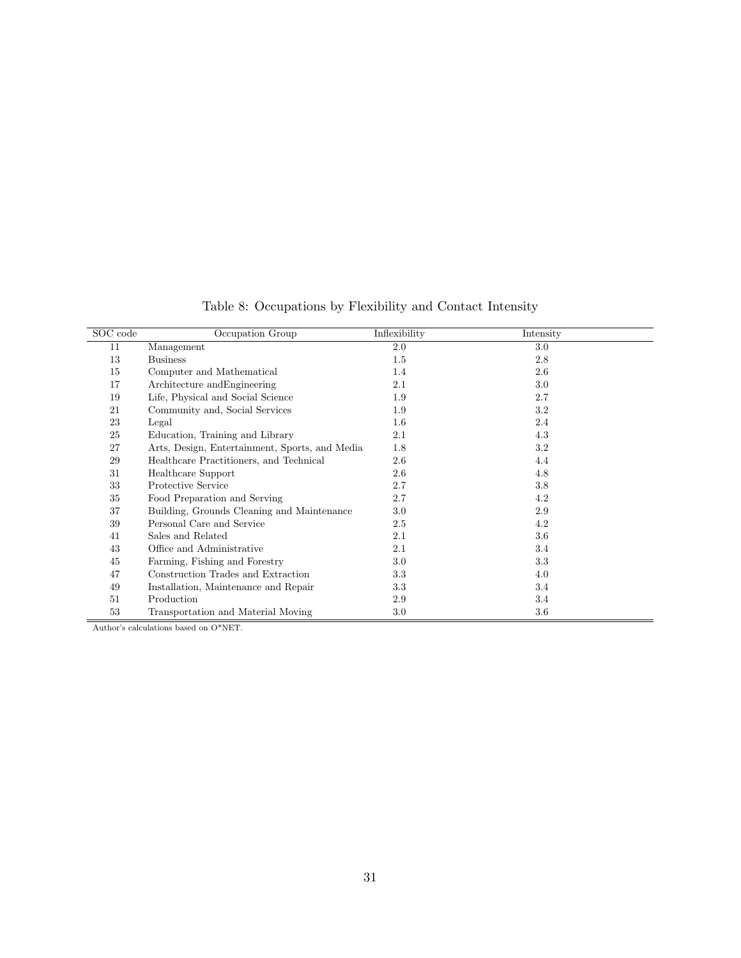<span id="page-31-0"></span>

| SOC code | Occupation Group                               | Inflexibility | Intensity |
|----------|------------------------------------------------|---------------|-----------|
| 11       | Management                                     | $2.0\,$       | $3.0\,$   |
| 13       | <b>Business</b>                                | $1.5\,$       | 2.8       |
| 15       | Computer and Mathematical                      | 1.4           | 2.6       |
| 17       | Architecture and Engineering                   | 2.1           | 3.0       |
| 19       | Life, Physical and Social Science              | 1.9           | 2.7       |
| 21       | Community and, Social Services                 | 1.9           | 3.2       |
| 23       | Legal                                          | $1.6\,$       | 2.4       |
| 25       | Education, Training and Library                | 2.1           | 4.3       |
| 27       | Arts, Design, Entertainment, Sports, and Media | 1.8           | 3.2       |
| 29       | Healthcare Practitioners, and Technical        | 2.6           | 4.4       |
| 31       | Healthcare Support                             | 2.6           | 4.8       |
| 33       | Protective Service                             | 2.7           | 3.8       |
| 35       | Food Preparation and Serving                   | 2.7           | 4.2       |
| 37       | Building, Grounds Cleaning and Maintenance     | 3.0           | 2.9       |
| 39       | Personal Care and Service                      | 2.5           | 4.2       |
| 41       | Sales and Related                              | 2.1           | 3.6       |
| 43       | Office and Administrative                      | 2.1           | 3.4       |
| 45       | Farming, Fishing and Forestry                  | 3.0           | 3.3       |
| 47       | Construction Trades and Extraction             | 3.3           | 4.0       |
| 49       | Installation, Maintenance and Repair           | 3.3           | 3.4       |
| 51       | Production                                     | 2.9           | 3.4       |
| 53       | Transportation and Material Moving             | 3.0           | $3.6\,$   |

Table 8: Occupations by Flexibility and Contact Intensity

Author's calculations based on O\*NET.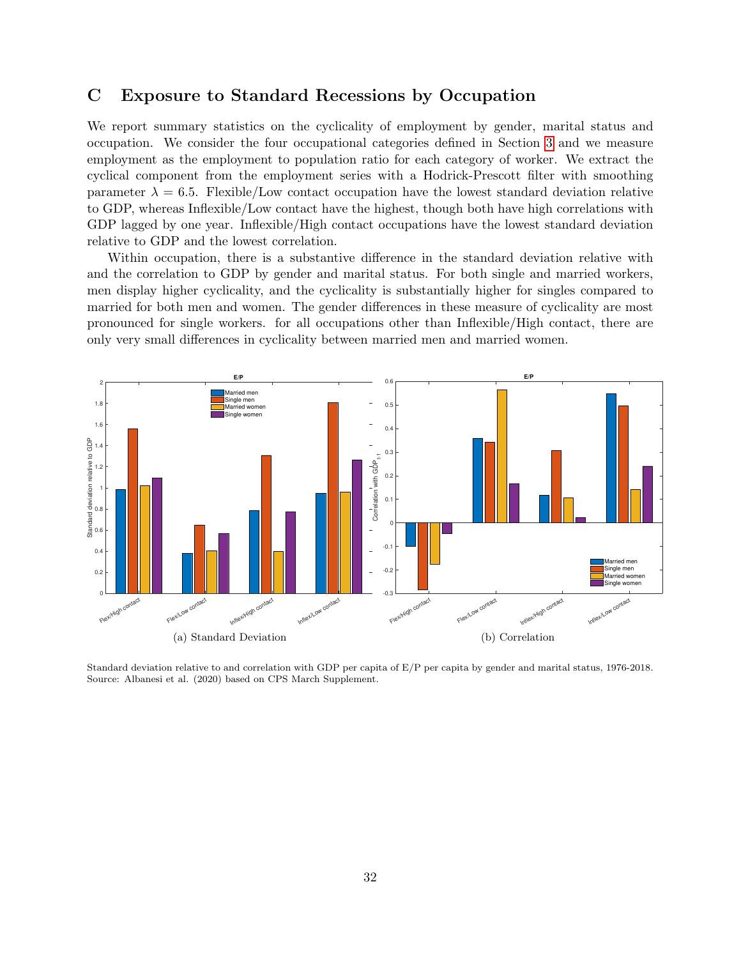## C Exposure to Standard Recessions by Occupation

We report summary statistics on the cyclicality of employment by gender, marital status and occupation. We consider the four occupational categories defined in Section [3](#page-5-0) and we measure employment as the employment to population ratio for each category of worker. We extract the cyclical component from the employment series with a Hodrick-Prescott filter with smoothing parameter  $\lambda = 6.5$ . Flexible/Low contact occupation have the lowest standard deviation relative to GDP, whereas Inflexible/Low contact have the highest, though both have high correlations with GDP lagged by one year. Inflexible/High contact occupations have the lowest standard deviation relative to GDP and the lowest correlation.

Within occupation, there is a substantive difference in the standard deviation relative with and the correlation to GDP by gender and marital status. For both single and married workers, men display higher cyclicality, and the cyclicality is substantially higher for singles compared to married for both men and women. The gender differences in these measure of cyclicality are most pronounced for single workers. for all occupations other than Inflexible/High contact, there are only very small differences in cyclicality between married men and married women.



Standard deviation relative to and correlation with GDP per capita of E/P per capita by gender and marital status, 1976-2018. Source: Albanesi et al. (2020) based on CPS March Supplement.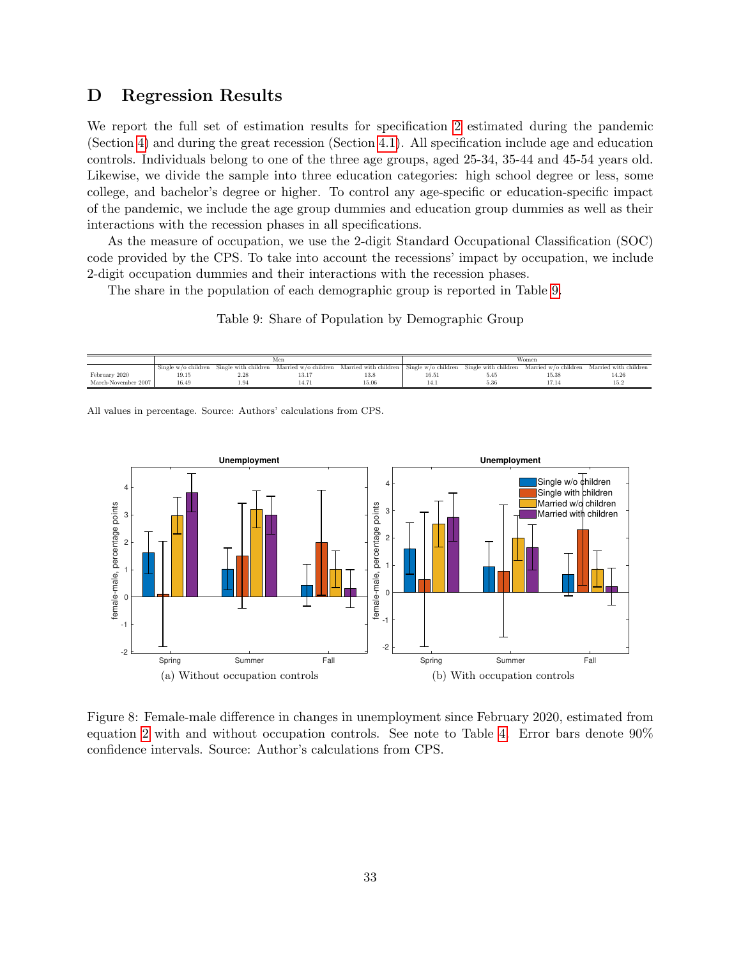## D Regression Results

We report the full set of estimation results for specification [2](#page-10-2) estimated during the pandemic (Section [4\)](#page-10-0) and during the great recession (Section [4.1\)](#page-16-1). All specification include age and education controls. Individuals belong to one of the three age groups, aged 25-34, 35-44 and 45-54 years old. Likewise, we divide the sample into three education categories: high school degree or less, some college, and bachelor's degree or higher. To control any age-specific or education-specific impact of the pandemic, we include the age group dummies and education group dummies as well as their interactions with the recession phases in all specifications.

As the measure of occupation, we use the 2-digit Standard Occupational Classification (SOC) code provided by the CPS. To take into account the recessions' impact by occupation, we include 2-digit occupation dummies and their interactions with the recession phases.

<span id="page-33-1"></span>The share in the population of each demographic group is reported in Table [9.](#page-33-1)

Table 9: Share of Population by Demographic Group

|                     |                       |                      | Men                  |                                             | Women |      |  |                                                                   |  |  |
|---------------------|-----------------------|----------------------|----------------------|---------------------------------------------|-------|------|--|-------------------------------------------------------------------|--|--|
|                     | Single $w/o$ children | Single with children | Married w/o children | Married with children   Single w/o children |       |      |  | Single with children Married $w/o$ children Married with children |  |  |
| February 2020       | 19.15                 | 2.28                 | 10.1                 | 13.8                                        | 16.51 |      |  | 14.2f                                                             |  |  |
| March-November 2007 | 16.49                 |                      |                      | 15.06                                       |       | 5.36 |  |                                                                   |  |  |
|                     |                       |                      |                      |                                             |       |      |  |                                                                   |  |  |

All values in percentage. Source: Authors' calculations from CPS.

<span id="page-33-0"></span>

Figure 8: Female-male difference in changes in unemployment since February 2020, estimated from equation [2](#page-10-2) with and without occupation controls. See note to Table [4.](#page-11-0) Error bars denote 90% confidence intervals. Source: Author's calculations from CPS.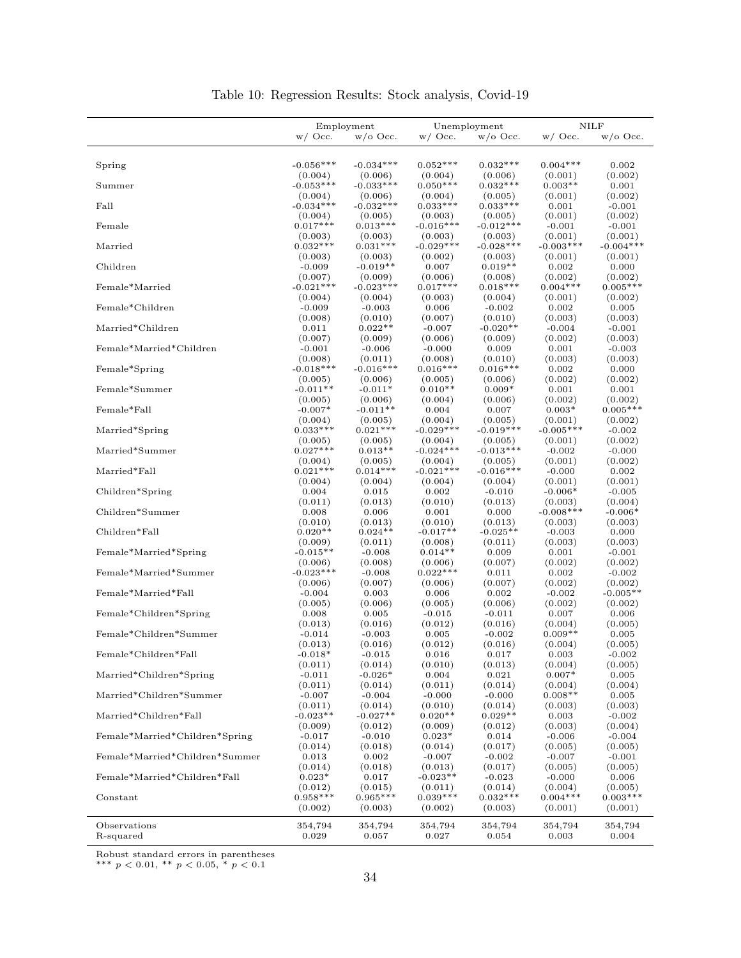|                                |                        | Employment             |                        | Unemployment           | <b>NILF</b>            |                        |  |
|--------------------------------|------------------------|------------------------|------------------------|------------------------|------------------------|------------------------|--|
|                                | $w/$ Occ.              | $w/0$ Occ.             | $w/$ Occ.              | $w$ /o Occ.            | $w/$ Occ.              | $w$ /o Occ.            |  |
|                                |                        |                        |                        |                        |                        |                        |  |
| Spring                         | $-0.056***$            | $-0.034***$            | $0.052***$             | $0.032***$             | $0.004***$             | 0.002                  |  |
|                                | (0.004)                | (0.006)                | (0.004)                | (0.006)                | (0.001)                | (0.002)                |  |
| Summer                         | $-0.053***$            | $-0.033***$            | $0.050***$             | $0.032***$             | $0.003**$              | 0.001                  |  |
|                                | (0.004)                | (0.006)                | (0.004)                | (0.005)                | (0.001)                | (0.002)                |  |
| Fall                           | $-0.034***$            | $-0.032***$            | $0.033***$             | $0.033***$             | 0.001                  | $-0.001$               |  |
|                                | (0.004)                | (0.005)                | (0.003)                | (0.005)                | (0.001)                | (0.002)                |  |
| Female                         | $0.017***$<br>(0.003)  | $0.013***$             | $-0.016***$            | $-0.012***$            | $-0.001$               | $-0.001$               |  |
| Married                        | $0.032***$             | (0.003)<br>$0.031***$  | (0.003)<br>$-0.029***$ | (0.003)<br>$-0.028***$ | (0.001)<br>$-0.003***$ | (0.001)<br>$-0.004***$ |  |
|                                | (0.003)                | (0.003)                | (0.002)                | (0.003)                | (0.001)                | (0.001)                |  |
| Children                       | $-0.009$               | $-0.019**$             | 0.007                  | $0.019**$              | 0.002                  | 0.000                  |  |
|                                | (0.007)                | (0.009)                | (0.006)                | (0.008)                | (0.002)                | (0.002)                |  |
| Female*Married                 | $-0.021***$            | $-0.023***$            | $0.017**$              | $0.018***$             | $0.004***$             | $0.005***$             |  |
|                                | (0.004)                | (0.004)                | (0.003)                | (0.004)                | (0.001)                | (0.002)                |  |
| Female*Children                | $-0.009$               | $-0.003$               | 0.006                  | $-0.002$               | 0.002                  | 0.005                  |  |
|                                | (0.008)                | (0.010)                | (0.007)                | (0.010)                | (0.003)                | (0.003)                |  |
| Married*Children               | 0.011                  | $0.022**$              | $-0.007$               | $-0.020**$             | $-0.004$               | $-0.001$               |  |
|                                | (0.007)                | (0.009)                | (0.006)                | (0.009)                | (0.002)                | (0.003)                |  |
| Female*Married*Children        | $-0.001$               | $-0.006$               | $-0.000$               | 0.009                  | 0.001                  | $-0.003$               |  |
| Female*Spring                  | (0.008)<br>$-0.018***$ | (0.011)<br>$-0.016***$ | (0.008)<br>$0.016***$  | (0.010)<br>$0.016***$  | (0.003)<br>0.002       | (0.003)<br>0.000       |  |
|                                | (0.005)                | (0.006)                | (0.005)                | (0.006)                | (0.002)                | (0.002)                |  |
| Female*Summer                  | $-0.011**$             | $-0.011*$              | $0.010**$              | $0.009*$               | 0.001                  | 0.001                  |  |
|                                | (0.005)                | (0.006)                | (0.004)                | (0.006)                | (0.002)                | (0.002)                |  |
| Female*Fall                    | $-0.007*$              | $-0.011**$             | 0.004                  | 0.007                  | $0.003*$               | $0.005***$             |  |
|                                | (0.004)                | (0.005)                | (0.004)                | (0.005)                | (0.001)                | (0.002)                |  |
| Married*Spring                 | $0.033***$             | $0.021***$             | $-0.029***$            | $-0.019***$            | $-0.005***$            | $-0.002$               |  |
|                                | (0.005)                | (0.005)                | (0.004)                | (0.005)                | (0.001)                | (0.002)                |  |
| Married*Summer                 | $0.027***$             | $0.013**$              | $-0.024***$            | $-0.013***$            | $-0.002$               | $-0.000$               |  |
|                                | (0.004)                | (0.005)                | (0.004)                | (0.005)                | (0.001)                | (0.002)                |  |
| Married*Fall                   | $0.021***$             | $0.014***$             | $-0.021***$            | $-0.016***$            | $-0.000$               | 0.002                  |  |
|                                | (0.004)                | (0.004)                | (0.004)                | (0.004)                | (0.001)                | (0.001)                |  |
| Children*Spring                | 0.004<br>(0.011)       | 0.015<br>(0.013)       | 0.002<br>(0.010)       | $-0.010$<br>(0.013)    | $-0.006*$<br>(0.003)   | $-0.005$<br>(0.004)    |  |
| Children*Summer                | 0.008                  | 0.006                  | 0.001                  | 0.000                  | $-0.008***$            | $-0.006*$              |  |
|                                | (0.010)                | (0.013)                | (0.010)                | (0.013)                | (0.003)                | (0.003)                |  |
| Children*Fall                  | $0.020**$              | $0.024**$              | $-0.017**$             | $-0.025**$             | $-0.003$               | 0.000                  |  |
|                                | (0.009)                | (0.011)                | (0.008)                | (0.011)                | (0.003)                | (0.003)                |  |
| Female*Married*Spring          | $-0.015**$             | $-0.008$               | $0.014**$              | 0.009                  | 0.001                  | $-0.001$               |  |
|                                | (0.006)                | (0.008)                | (0.006)                | (0.007)                | (0.002)                | (0.002)                |  |
| Female*Married*Summer          | $-0.023***$            | $-0.008$               | $0.022***$             | 0.011                  | 0.002                  | $-0.002$               |  |
|                                | (0.006)                | (0.007)                | (0.006)                | (0.007)                | (0.002)                | (0.002)                |  |
| Female*Married*Fall            | $-0.004$               | 0.003                  | 0.006                  | 0.002                  | $-0.002$               | $-0.005**$             |  |
| Female*Children*Spring         | (0.005)                | (0.006)                | (0.005)                | (0.006)                | (0.002)                | (0.002)                |  |
|                                | 0.008<br>(0.013)       | 0.005<br>(0.016)       | $-0.015$<br>(0.012)    | $-0.011$<br>(0.016)    | 0.007<br>(0.004)       | 0.006<br>(0.005)       |  |
| Female*Children*Summer         | $-0.014$               | $-0.003$               | 0.005                  | $-0.002$               | $0.009**$              | 0.005                  |  |
|                                | (0.013)                | (0.016)                | (0.012)                | (0.016)                | (0.004)                | (0.005)                |  |
| Female*Children*Fall           | $-0.018*$              | $-0.015$               | 0.016                  | 0.017                  | 0.003                  | $-0.002$               |  |
|                                | (0.011)                | (0.014)                | (0.010)                | (0.013)                | (0.004)                | (0.005)                |  |
| Married*Children*Spring        | $-0.011$               | $-0.026*$              | 0.004                  | 0.021                  | $0.007*$               | 0.005                  |  |
|                                | (0.011)                | (0.014)                | (0.011)                | (0.014)                | (0.004)                | (0.004)                |  |
| Married*Children*Summer        | $-0.007$               | $-0.004$               | $-0.000$               | $-0.000$               | $0.008**$              | 0.005                  |  |
|                                | (0.011)                | (0.014)                | (0.010)                | (0.014)                | (0.003)                | (0.003)                |  |
| Married*Children*Fall          | $-0.023**$             | $-0.027**$             | $0.020**$              | $0.029**$              | 0.003                  | $-0.002$               |  |
|                                | (0.009)                | (0.012)                | (0.009)                | (0.012)                | (0.003)                | (0.004)                |  |
| Female*Married*Children*Spring | $-0.017$<br>(0.014)    | $-0.010$<br>(0.018)    | $0.023*$<br>(0.014)    | 0.014<br>(0.017)       | $-0.006$<br>(0.005)    | $-0.004$<br>(0.005)    |  |
| Female*Married*Children*Summer | 0.013                  | 0.002                  | $-0.007$               | $-0.002$               | $-0.007$               | $-0.001$               |  |
|                                | (0.014)                | (0.018)                | (0.013)                | (0.017)                | (0.005)                | (0.005)                |  |
| Female*Married*Children*Fall   | $0.023*$               | 0.017                  | $-0.023**$             | $-0.023$               | $-0.000$               | 0.006                  |  |
|                                | (0.012)                | (0.015)                | (0.011)                | (0.014)                | (0.004)                | (0.005)                |  |
| Constant                       | $0.958***$             | $0.965***$             | $0.039***$             | $0.032***$             | $0.004***$             | $0.003***$             |  |
|                                | (0.002)                | (0.003)                | (0.002)                | (0.003)                | (0.001)                | (0.001)                |  |
|                                |                        |                        |                        |                        |                        |                        |  |
| Observations<br>R-squared      | 354,794<br>0.029       | 354,794<br>0.057       | 354,794<br>0.027       | 354,794<br>0.054       | 354,794<br>0.003       | 354,794<br>0.004       |  |
|                                |                        |                        |                        |                        |                        |                        |  |

Table 10: Regression Results: Stock analysis, Covid-19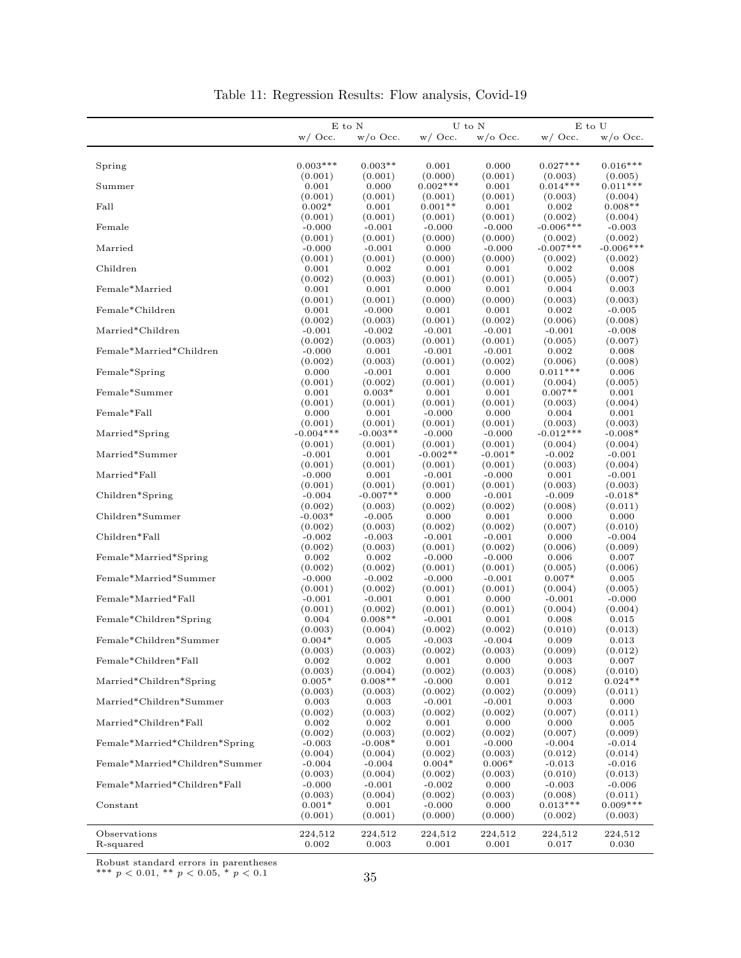|                                | E to N      |             | U to N     |            |             | ${\cal E}$ to ${\cal U}$ |
|--------------------------------|-------------|-------------|------------|------------|-------------|--------------------------|
|                                | $w/$ Occ.   | $w$ /o Occ. | $w/$ Occ.  | $w/0$ Occ. | $w/$ Occ.   | $w$ /o Occ.              |
|                                |             |             |            |            |             |                          |
|                                |             |             |            |            |             |                          |
| Spring                         | $0.003***$  | $0.003**$   | 0.001      | 0.000      | $0.027***$  | $0.016***$               |
|                                | (0.001)     | (0.001)     | (0.000)    | (0.001)    | (0.003)     | (0.005)                  |
| Summer                         | 0.001       | 0.000       | $0.002***$ | 0.001      | $0.014***$  | $0.011***$               |
|                                | (0.001)     | (0.001)     | (0.001)    | (0.001)    | (0.003)     | (0.004)                  |
| Fall                           | $0.002*$    | 0.001       | $0.001**$  | 0.001      | 0.002       | $0.008**$                |
|                                | (0.001)     | (0.001)     | (0.001)    | (0.001)    | (0.002)     | (0.004)                  |
| Female                         | $-0.000$    | $-0.001$    | $-0.000$   | $-0.000$   | $-0.006***$ | $-0.003$                 |
|                                | (0.001)     | (0.001)     | (0.000)    | (0.000)    | (0.002)     | (0.002)                  |
| Married                        |             |             |            |            | $-0.007***$ | $-0.006***$              |
|                                | $-0.000$    | $-0.001$    | 0.000      | $-0.000$   |             |                          |
|                                | (0.001)     | (0.001)     | (0.000)    | (0.000)    | (0.002)     | (0.002)                  |
| Children                       | 0.001       | 0.002       | 0.001      | 0.001      | 0.002       | 0.008                    |
|                                | (0.002)     | (0.003)     | (0.001)    | (0.001)    | (0.005)     | (0.007)                  |
| Female*Married                 | 0.001       | 0.001       | 0.000      | 0.001      | 0.004       | 0.003                    |
|                                | (0.001)     | (0.001)     | (0.000)    | (0.000)    | (0.003)     | (0.003)                  |
| Female*Children                | 0.001       | $-0.000$    | 0.001      | 0.001      | 0.002       | $-0.005$                 |
|                                | (0.002)     | (0.003)     | (0.001)    | (0.002)    | (0.006)     | (0.008)                  |
| Married*Children               | $-0.001$    | $-0.002$    | $-0.001$   | $-0.001$   | $-0.001$    | $-0.008$                 |
|                                | (0.002)     | (0.003)     | (0.001)    | (0.001)    | (0.005)     | (0.007)                  |
| Female*Married*Children        | $-0.000$    | 0.001       | $-0.001$   | $-0.001$   | 0.002       | 0.008                    |
|                                |             |             |            |            |             |                          |
|                                | (0.002)     | (0.003)     | (0.001)    | (0.002)    | (0.006)     | (0.008)                  |
| Female*Spring                  | 0.000       | $-0.001$    | 0.001      | 0.000      | $0.011***$  | 0.006                    |
|                                | (0.001)     | (0.002)     | (0.001)    | (0.001)    | (0.004)     | (0.005)                  |
| Female*Summer                  | 0.001       | $0.003*$    | 0.001      | 0.001      | $0.007**$   | 0.001                    |
|                                | (0.001)     | (0.001)     | (0.001)    | (0.001)    | (0.003)     | (0.004)                  |
| Female*Fall                    | 0.000       | 0.001       | $-0.000$   | 0.000      | 0.004       | 0.001                    |
|                                | (0.001)     | (0.001)     | (0.001)    | (0.001)    | (0.003)     | (0.003)                  |
| Married*Spring                 | $-0.004***$ | $-0.003**$  | $-0.000$   | $-0.000$   | $-0.012***$ | $-0.008*$                |
|                                | (0.001)     | (0.001)     | (0.001)    | (0.001)    | (0.004)     | (0.004)                  |
| Married*Summer                 |             |             |            | $-0.001*$  |             |                          |
|                                | $-0.001$    | 0.001       | $-0.002**$ |            | $-0.002$    | $-0.001$                 |
|                                | (0.001)     | (0.001)     | (0.001)    | (0.001)    | (0.003)     | (0.004)                  |
| Married*Fall                   | $-0.000$    | 0.001       | $-0.001$   | $-0.000$   | 0.001       | $-0.001$                 |
|                                | (0.001)     | (0.001)     | (0.001)    | (0.001)    | (0.003)     | (0.003)                  |
| Children*Spring                | $-0.004$    | $-0.007**$  | 0.000      | $-0.001$   | $-0.009$    | $-0.018*$                |
|                                | (0.002)     | (0.003)     | (0.002)    | (0.002)    | (0.008)     | (0.011)                  |
| Children*Summer                | $-0.003*$   | $-0.005$    | 0.000      | 0.001      | 0.000       | 0.000                    |
|                                | (0.002)     | (0.003)     | (0.002)    | (0.002)    | (0.007)     | (0.010)                  |
| Children*Fall                  | $-0.002$    | $-0.003$    | $-0.001$   | $-0.001$   | 0.000       | $-0.004$                 |
|                                | (0.002)     | (0.003)     | (0.001)    | (0.002)    | (0.006)     | (0.009)                  |
|                                |             |             |            |            |             |                          |
| Female*Married*Spring          | 0.002       | 0.002       | $-0.000$   | $-0.000$   | 0.006       | 0.007                    |
|                                | (0.002)     | (0.002)     | (0.001)    | (0.001)    | (0.005)     | (0.006)                  |
| Female*Married*Summer          | $-0.000$    | $-0.002$    | $-0.000$   | $-0.001$   | $0.007*$    | 0.005                    |
|                                | (0.001)     | (0.002)     | (0.001)    | (0.001)    | (0.004)     | (0.005)                  |
| Female*Married*Fall            | $-0.001$    | $-0.001$    | 0.001      | 0.000      | $-0.001$    | $-0.000$                 |
|                                | (0.001)     | (0.002)     | (0.001)    | (0.001)    | (0.004)     | (0.004)                  |
| Female*Children*Spring         | 0.004       | $0.008**$   | $-0.001$   | 0.001      | 0.008       | 0.015                    |
|                                | (0.003)     | (0.004)     | (0.002)    | (0.002)    | (0.010)     | (0.013)                  |
| Female*Children*Summer         | $0.004*$    | 0.005       | $-0.003$   | $-0.004$   | 0.009       | 0.013                    |
|                                | (0.003)     | (0.003)     | (0.002)    | (0.003)    | (0.009)     | (0.012)                  |
| Female*Children*Fall           |             |             |            |            |             |                          |
|                                | 0.002       | 0.002       | 0.001      | 0.000      | 0.003       | 0.007                    |
|                                | (0.003)     | (0.004)     | (0.002)    | (0.003)    | (0.008)     | (0.010)                  |
| Married*Children*Spring        | $0.005*$    | $0.008**$   | $-0.000$   | 0.001      | 0.012       | $0.024**$                |
|                                | (0.003)     | (0.003)     | (0.002)    | (0.002)    | (0.009)     | (0.011)                  |
| Married*Children*Summer        | 0.003       | 0.003       | $-0.001$   | $-0.001$   | 0.003       | 0.000                    |
|                                | (0.002)     | (0.003)     | (0.002)    | (0.002)    | (0.007)     | (0.011)                  |
| Married*Children*Fall          | 0.002       | 0.002       | 0.001      | 0.000      | 0.000       | 0.005                    |
|                                | (0.002)     | (0.003)     | (0.002)    | (0.002)    | (0.007)     | (0.009)                  |
| Female*Married*Children*Spring | $-0.003$    | $-0.008*$   | 0.001      | $-0.000$   | $-0.004$    | $-0.014$                 |
|                                | (0.004)     | (0.004)     | (0.002)    | (0.003)    | (0.012)     | (0.014)                  |
| Female*Married*Children*Summer |             |             |            | $0.006*$   |             |                          |
|                                | $-0.004$    | $-0.004$    | $0.004*$   |            | $-0.013$    | $-0.016$                 |
|                                | (0.003)     | (0.004)     | (0.002)    | (0.003)    | (0.010)     | (0.013)                  |
| Female*Married*Children*Fall   | $-0.000$    | $-0.001$    | $-0.002$   | 0.000      | $-0.003$    | $-0.006$                 |
|                                | (0.003)     | (0.004)     | (0.002)    | (0.003)    | (0.008)     | (0.011)                  |
| Constant                       | $0.001*$    | 0.001       | $-0.000$   | 0.000      | $0.013***$  | $0.009***$               |
|                                | (0.001)     | (0.001)     | (0.000)    | (0.000)    | (0.002)     | (0.003)                  |
|                                |             |             |            |            |             |                          |
| Observations                   | 224,512     | 224,512     | 224,512    | 224,512    | 224,512     | 224,512                  |
| R-squared                      | 0.002       | 0.003       | 0.001      | 0.001      | 0.017       | 0.030                    |

| Table 11: Regression Results: Flow analysis, Covid-19 |  |  |
|-------------------------------------------------------|--|--|
|                                                       |  |  |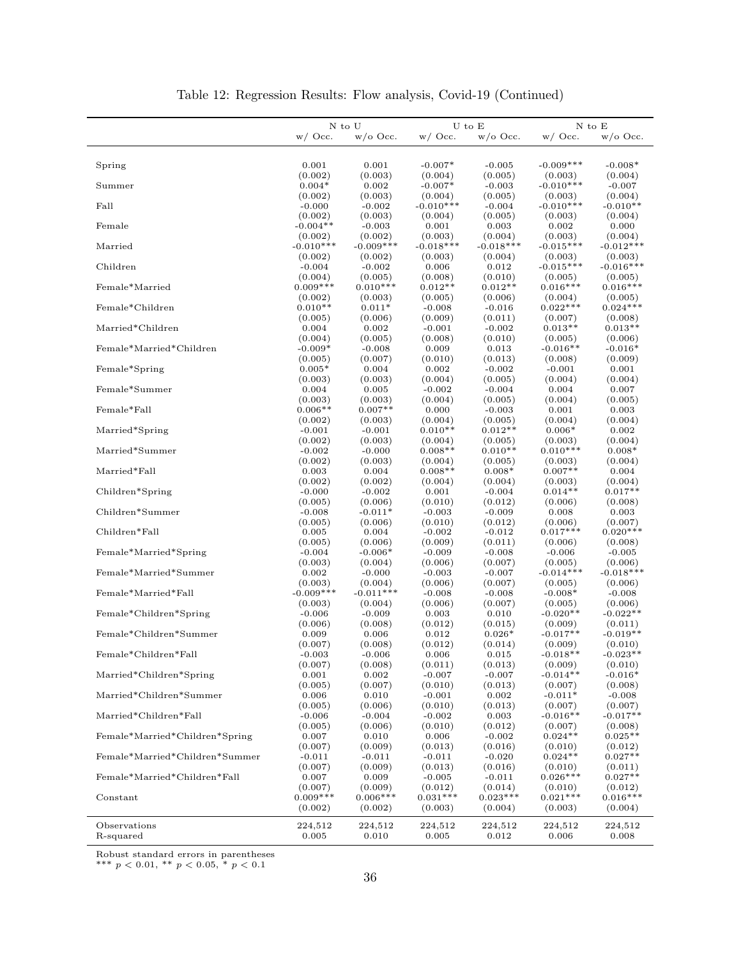|                                                                 |                     | N to U              |                      | U to E               |                       | $N$ to $E$            |  |
|-----------------------------------------------------------------|---------------------|---------------------|----------------------|----------------------|-----------------------|-----------------------|--|
|                                                                 | $w/$ Occ.           | $w$ /o Occ.         | $w/$ Occ.            | $w$ /o Occ.          | $w/$ Occ.             | $w/0$ Occ.            |  |
|                                                                 |                     |                     |                      |                      |                       |                       |  |
| Spring                                                          | 0.001               | 0.001               | $-0.007*$            | $-0.005$             | $-0.009***$           | $-0.008*$             |  |
|                                                                 | (0.002)             | (0.003)             | (0.004)              | (0.005)              | (0.003)               | (0.004)               |  |
| Summer                                                          | $0.004*$            | 0.002               | $-0.007*$            | $-0.003$             | $-0.010***$           | $-0.007$              |  |
|                                                                 | (0.002)             | (0.003)             | (0.004)              | (0.005)              | (0.003)               | (0.004)               |  |
| Fall                                                            | $-0.000$            | $-0.002$            | $-0.010***$          | $-0.004$             | $-0.010***$           | $-0.010**$            |  |
|                                                                 | (0.002)             | (0.003)             | (0.004)              | (0.005)              | (0.003)               | (0.004)               |  |
| Female                                                          | $-0.004**$          | $-0.003$            | 0.001                | 0.003                | 0.002                 | 0.000                 |  |
|                                                                 | (0.002)             | (0.002)             | (0.003)              | (0.004)              | (0.003)               | (0.004)               |  |
| Married                                                         | $-0.010***$         | $-0.009***$         | $-0.018***$          | $-0.018***$          | $-0.015***$           | $-0.012***$           |  |
|                                                                 | (0.002)             | (0.002)             | (0.003)              | (0.004)              | (0.003)               | (0.003)               |  |
| Children                                                        | $-0.004$            | $-0.002$            | 0.006                | 0.012                | $-0.015***$           | $-0.016***$           |  |
|                                                                 | (0.004)             | (0.005)             | (0.008)              | (0.010)              | (0.005)               | (0.005)               |  |
| Female*Married                                                  | $0.009***$          | $0.010***$          | $0.012**$            | $0.012**$            | $0.016***$            | $0.016***$            |  |
|                                                                 | (0.002)             | (0.003)             | (0.005)              | (0.006)              | (0.004)               | (0.005)               |  |
| Female*Children                                                 | $0.010**$           | $0.011*$            | $-0.008$             | $-0.016$             | $0.022**$             | $0.024***$            |  |
|                                                                 | (0.005)             | (0.006)             | (0.009)              | (0.011)              | (0.007)               | (0.008)               |  |
| Married*Children                                                | 0.004               | 0.002               | $-0.001$             | $-0.002$             | $0.013**$             | $0.013**$             |  |
|                                                                 | (0.004)             | (0.005)             | (0.008)              | (0.010)              | (0.005)               | (0.006)               |  |
| Female*Married*Children                                         | $-0.009*$           | $-0.008$            | 0.009                | 0.013                | $-0.016**$            | $-0.016*$             |  |
|                                                                 | (0.005)             | (0.007)             | (0.010)              | (0.013)              | (0.008)               | (0.009)               |  |
| Female*Spring                                                   | $0.005*$            | 0.004               | 0.002                | $-0.002$             | $-0.001$              | 0.001                 |  |
|                                                                 | (0.003)             | (0.003)             | (0.004)              | (0.005)              | (0.004)               | (0.004)               |  |
| Female*Summer                                                   | 0.004               | 0.005               | $-0.002$             | $-0.004$             | 0.004                 | 0.007                 |  |
|                                                                 | (0.003)             | (0.003)             | (0.004)              | (0.005)              | (0.004)               | (0.005)               |  |
| Female*Fall                                                     | $0.006**$           | $0.007**$           | 0.000                | $-0.003$             | 0.001                 | 0.003                 |  |
|                                                                 | (0.002)             | (0.003)             | (0.004)              | (0.005)              | (0.004)               | (0.004)               |  |
| Married*Spring                                                  | $-0.001$            | $-0.001$            | $0.010**$            | $0.012**$            | $0.006*$              | 0.002                 |  |
| Married*Summer                                                  | (0.002)<br>$-0.002$ | (0.003)<br>$-0.000$ | (0.004)<br>$0.008**$ | (0.005)<br>$0.010**$ | (0.003)<br>$0.010***$ | (0.004)<br>$0.008*$   |  |
|                                                                 |                     |                     | (0.004)              |                      |                       |                       |  |
| Married*Fall                                                    | (0.002)<br>0.003    | (0.003)<br>0.004    | $0.008**$            | (0.005)<br>$0.008*$  | (0.003)<br>$0.007**$  | (0.004)<br>0.004      |  |
|                                                                 | (0.002)             | (0.002)             | (0.004)              | (0.004)              | (0.003)               | (0.004)               |  |
| Children*Spring                                                 | $-0.000$            | $-0.002$            | 0.001                | $-0.004$             | $0.014**$             | $0.017**$             |  |
|                                                                 | (0.005)             | (0.006)             | (0.010)              | (0.012)              | (0.006)               | (0.008)               |  |
| Children*Summer                                                 | $-0.008$            | $-0.011*$           | $-0.003$             | $-0.009$             | 0.008                 | 0.003                 |  |
|                                                                 | (0.005)             | (0.006)             | (0.010)              | (0.012)              | (0.006)               | (0.007)               |  |
| Children*Fall                                                   | 0.005               | 0.004               | $-0.002$             | $-0.012$             | $0.017***$            | $0.020***$            |  |
|                                                                 | (0.005)             | (0.006)             | (0.009)              | (0.011)              | (0.006)               | (0.008)               |  |
| Female*Married*Spring                                           | $-0.004$            | $-0.006*$           | $-0.009$             | $-0.008$             | $-0.006$              | $-0.005$              |  |
|                                                                 | (0.003)             | (0.004)             | (0.006)              | (0.007)              | (0.005)               | (0.006)               |  |
| Female*Married*Summer                                           | 0.002               | $-0.000$            | $-0.003$             | $-0.007$             | $-0.014***$           | $-0.018***$           |  |
|                                                                 | (0.003)             | (0.004)             | (0.006)              | (0.007)              | (0.005)               | (0.006)               |  |
| Female*Married*Fall                                             | $-0.009***$         | $-0.011***$         | $-0.008$             | $-0.008$             | $-0.008*$             | $-0.008$              |  |
|                                                                 | (0.003)             | (0.004)             | (0.006)              | (0.007)              | (0.005)               | (0.006)               |  |
| Female*Children*Spring                                          | $-0.006$            | $-0.009$            | 0.003                | 0.010                | $-0.020**$            | $-0.022**$            |  |
|                                                                 | (0.006)             | (0.008)             | (0.012)              | (0.015)              | (0.009)               | (0.011)               |  |
| Female*Children*Summer                                          | 0.009               | 0.006               | 0.012                | $0.026*$             | $-0.017**$            | $-0.019**$            |  |
|                                                                 | (0.007)             | (0.008)             | (0.012)              | (0.014)              | (0.009)               | (0.010)               |  |
| $\label{eq:Female*Children*Fall} \textbf{Female*Children*Fall}$ | $-0.003$            | $-0.006$            | 0.006                | 0.015                | $-0.018**$            | $-0.023**$<br>(0.010) |  |
| Married*Children*Spring                                         | (0.007)<br>0.001    | (0.008)<br>0.002    | (0.011)<br>$-0.007$  | (0.013)<br>$-0.007$  | (0.009)<br>$-0.014**$ | $-0.016*$             |  |
|                                                                 | (0.005)             | (0.007)             | (0.010)              | (0.013)              | (0.007)               | (0.008)               |  |
| Married*Children*Summer                                         | 0.006               | 0.010               | $-0.001$             | 0.002                | $-0.011*$             | $-0.008$              |  |
|                                                                 | (0.005)             | (0.006)             | (0.010)              | (0.013)              | (0.007)               | (0.007)               |  |
| Married*Children*Fall                                           | $-0.006$            | $-0.004$            | $-0.002$             | 0.003                | $-0.016**$            | $-0.017**$            |  |
|                                                                 | (0.005)             | (0.006)             | (0.010)              | (0.012)              | (0.007)               | (0.008)               |  |
| Female*Married*Children*Spring                                  | 0.007               | 0.010               | 0.006                | $-0.002$             | $0.024**$             | $0.025**$             |  |
|                                                                 | (0.007)             | (0.009)             | (0.013)              | (0.016)              | (0.010)               | (0.012)               |  |
| Female*Married*Children*Summer                                  | $-0.011$            | $-0.011$            | $-0.011$             | $-0.020$             | $0.024**$             | $0.027**$             |  |
|                                                                 | (0.007)             | (0.009)             | (0.013)              | (0.016)              | (0.010)               | (0.011)               |  |
| Female*Married*Children*Fall                                    | 0.007               | 0.009               | $-0.005$             | $-0.011$             | $0.026***$            | $0.027**$             |  |
|                                                                 | (0.007)             | (0.009)             | (0.012)              | (0.014)              | (0.010)               | (0.012)               |  |
| Constant                                                        | $0.009***$          | $0.006***$          | $0.031***$           | $0.023***$           | $0.021***$            | $0.016***$            |  |
|                                                                 | (0.002)             | (0.002)             | (0.003)              | (0.004)              | (0.003)               | (0.004)               |  |
| Observations                                                    | 224,512             | 224,512             | 224,512              | 224,512              | 224,512               | 224,512               |  |
| R-squared                                                       | 0.005               | 0.010               | 0.005                | 0.012                | 0.006                 | 0.008                 |  |
|                                                                 |                     |                     |                      |                      |                       |                       |  |

Table 12: Regression Results: Flow analysis, Covid-19 (Continued)